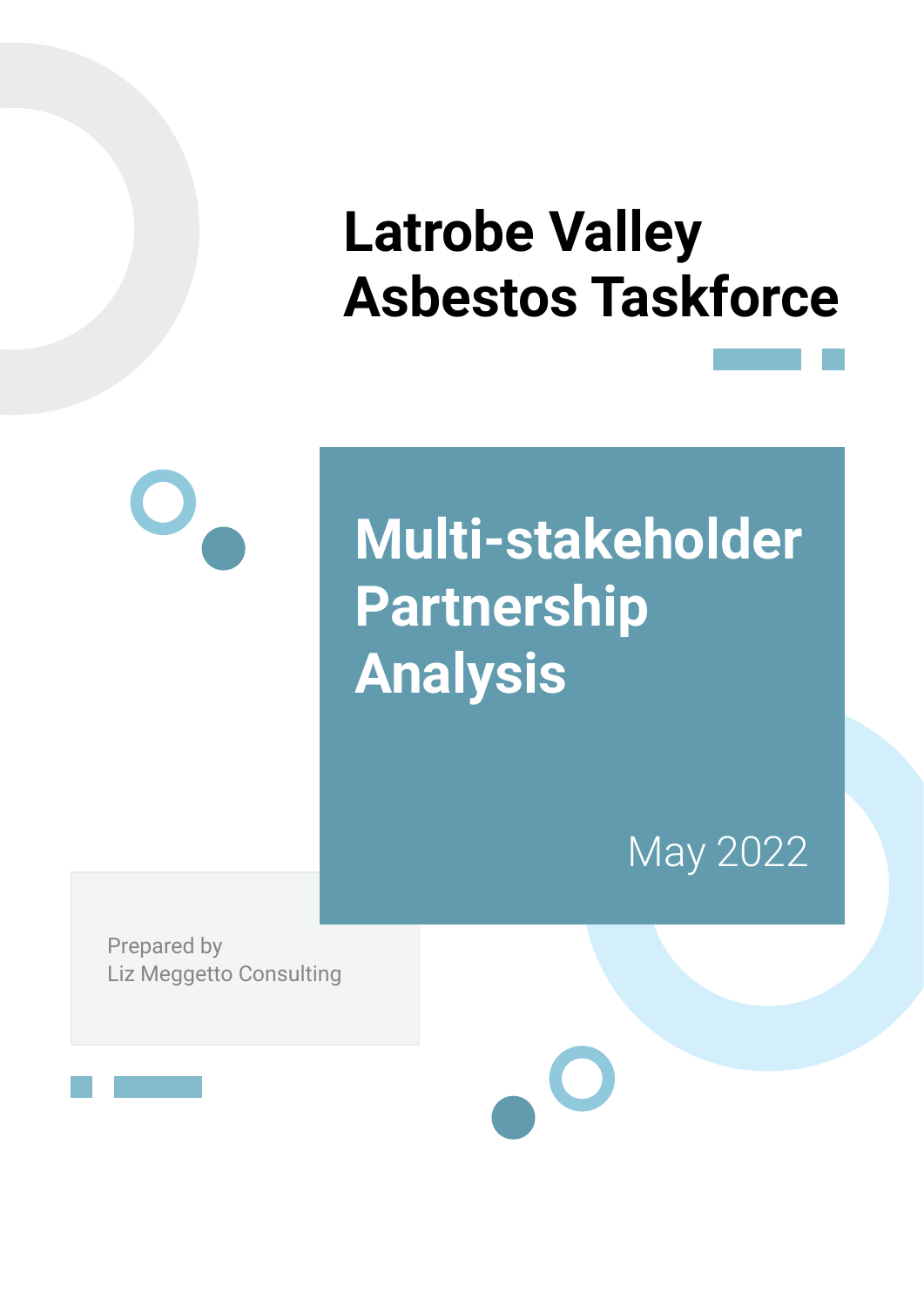## **Latrobe Valley Asbestos Taskforce**



# **Multi-stakeholder Partnership Analysis**

May 2022

Prepared by Liz Meggetto Consulting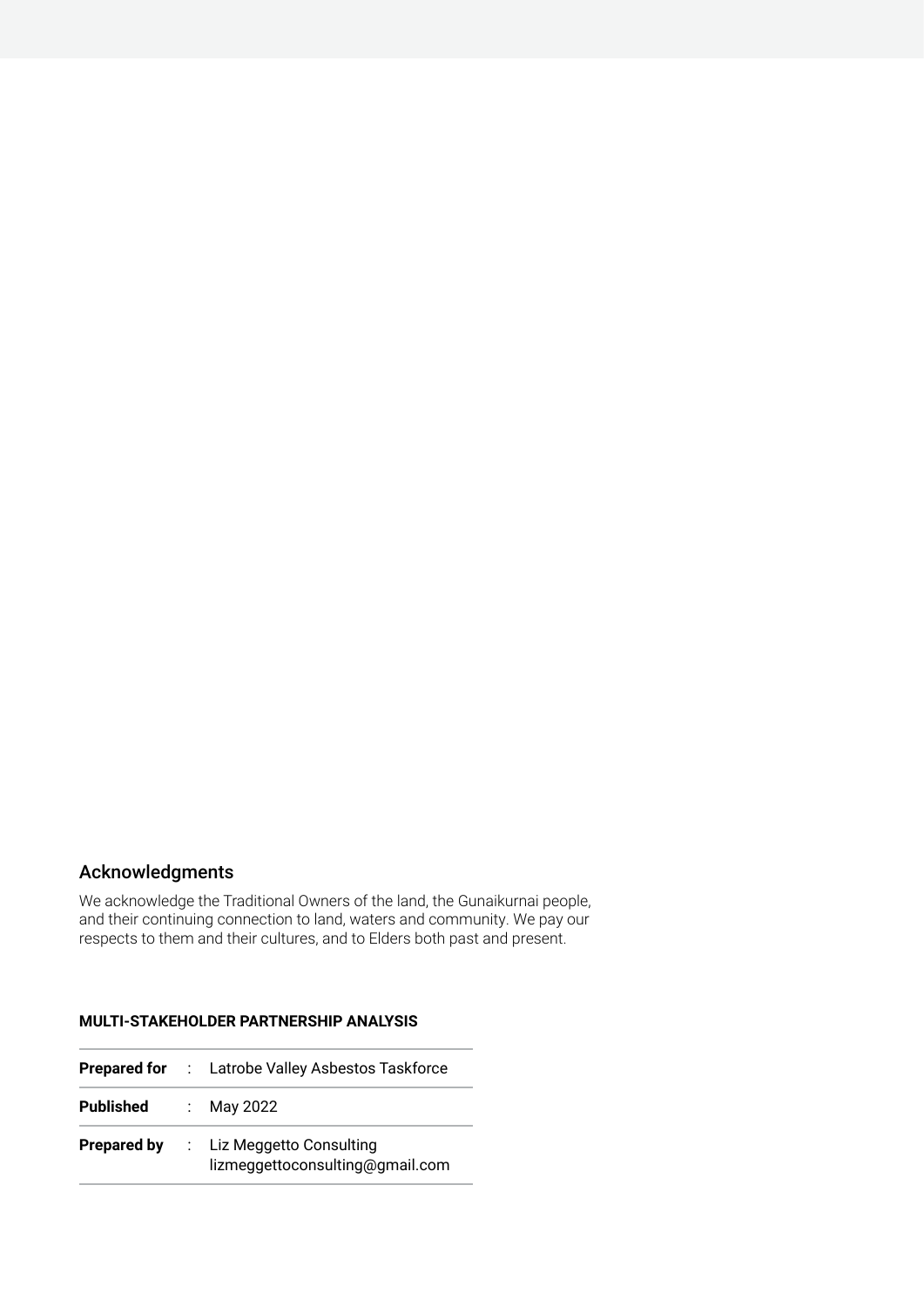#### Acknowledgments

We acknowledge the Traditional Owners of the land, the Gunaikurnai people, and their continuing connection to land, waters and community. We pay our respects to them and their cultures, and to Elders both past and present.

#### **MULTI-STAKEHOLDER PARTNERSHIP ANALYSIS**

|                    | <b>Prepared for</b> : Latrobe Valley Asbestos Taskforce      |
|--------------------|--------------------------------------------------------------|
| Published          | : May 2022                                                   |
| <b>Prepared by</b> | : Liz Meggetto Consulting<br>lizmeggettoconsulting@gmail.com |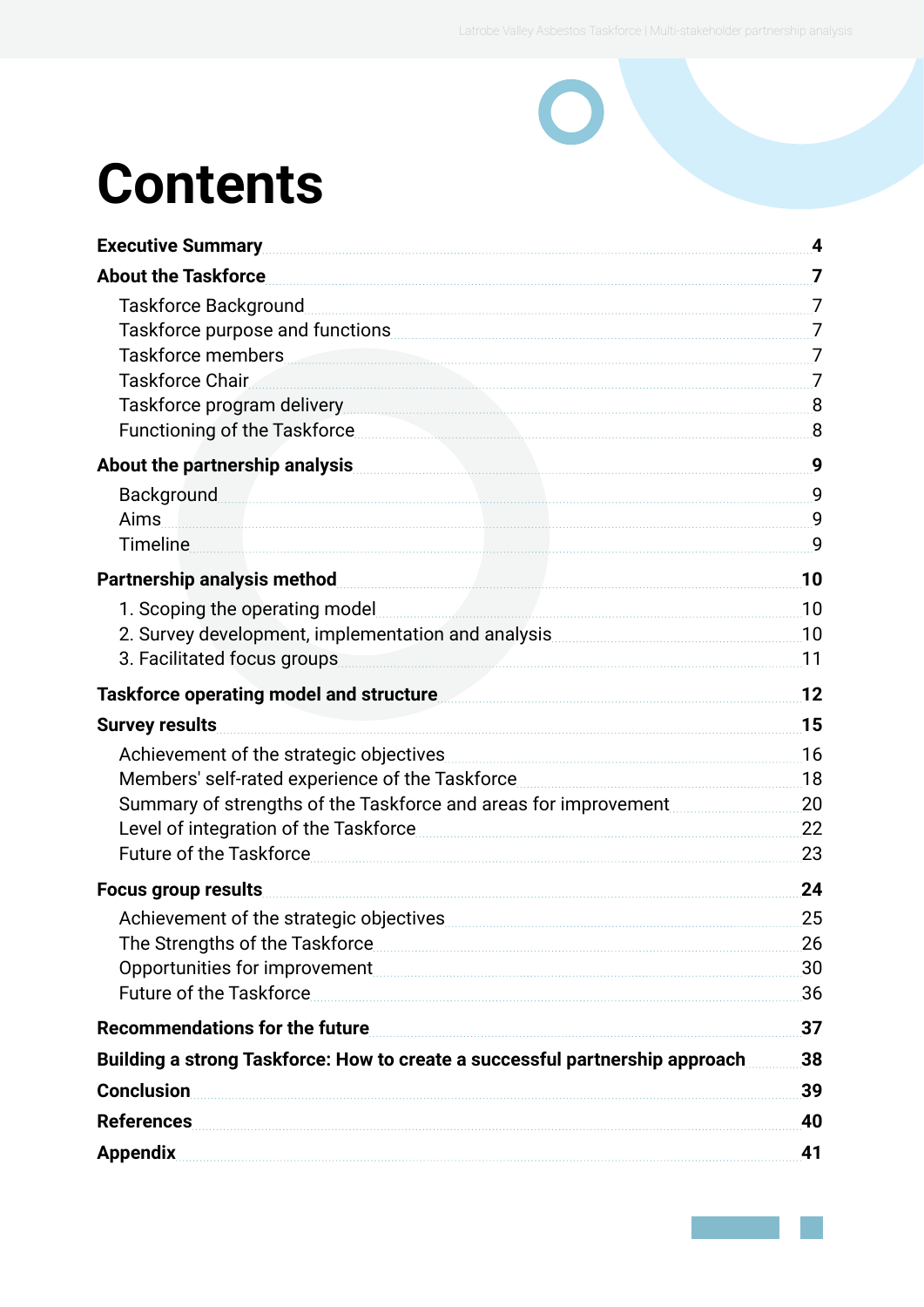# **Contents**

| <b>Executive Summary</b>                                                                                                                                                                                                       | 4              |
|--------------------------------------------------------------------------------------------------------------------------------------------------------------------------------------------------------------------------------|----------------|
| <b>About the Taskforce</b>                                                                                                                                                                                                     | 7              |
| Taskforce Background                                                                                                                                                                                                           | $\overline{7}$ |
| Taskforce purpose and functions Taskforce purpose and functions and the continuum contract of the contract of the contract of the contract of the contract of the contract of the contract of the contract of the contract of  |                |
| Taskforce members and the contract of the contract of the contract of the contract of the contract of the contract of the contract of the contract of the contract of the contract of the contract of the contract of the cont | $\overline{7}$ |
| Taskforce Chair                                                                                                                                                                                                                | 7              |
| Taskforce program delivery 8                                                                                                                                                                                                   |                |
| Functioning of the Taskforce                                                                                                                                                                                                   | 8              |
| About the partnership analysis                                                                                                                                                                                                 | 9              |
| <b>Background</b>                                                                                                                                                                                                              | 9              |
| Aims                                                                                                                                                                                                                           | 9              |
| <b>Timeline</b>                                                                                                                                                                                                                | 9              |
| Partnership analysis method                                                                                                                                                                                                    | 10             |
| 1. Scoping the operating model                                                                                                                                                                                                 | 10             |
| 2. Survey development, implementation and analysis                                                                                                                                                                             | 10             |
| 3. Facilitated focus groups                                                                                                                                                                                                    | 11             |
| Taskforce operating model and structure                                                                                                                                                                                        | 12             |
| <b>Survey results</b>                                                                                                                                                                                                          | 15             |
| Achievement of the strategic objectives                                                                                                                                                                                        | 16             |
| Members' self-rated experience of the Taskforce                                                                                                                                                                                | 18             |
|                                                                                                                                                                                                                                | 20             |
| Level of integration of the Taskforce                                                                                                                                                                                          | 22             |
| <b>Future of the Taskforce</b>                                                                                                                                                                                                 | 23             |
| Focus group results                                                                                                                                                                                                            | 24             |
| Achievement of the strategic objectives                                                                                                                                                                                        | 25             |
| The Strengths of the Taskforce                                                                                                                                                                                                 | 26             |
| Opportunities for improvement                                                                                                                                                                                                  | 30             |
| <b>Future of the Taskforce</b>                                                                                                                                                                                                 | 36             |
| <b>Recommendations for the future</b>                                                                                                                                                                                          | 37             |
| Building a strong Taskforce: How to create a successful partnership approach                                                                                                                                                   | 38             |
| <b>Conclusion</b>                                                                                                                                                                                                              | 39             |
| <b>References</b>                                                                                                                                                                                                              | 40             |
| <b>Appendix</b>                                                                                                                                                                                                                | 41             |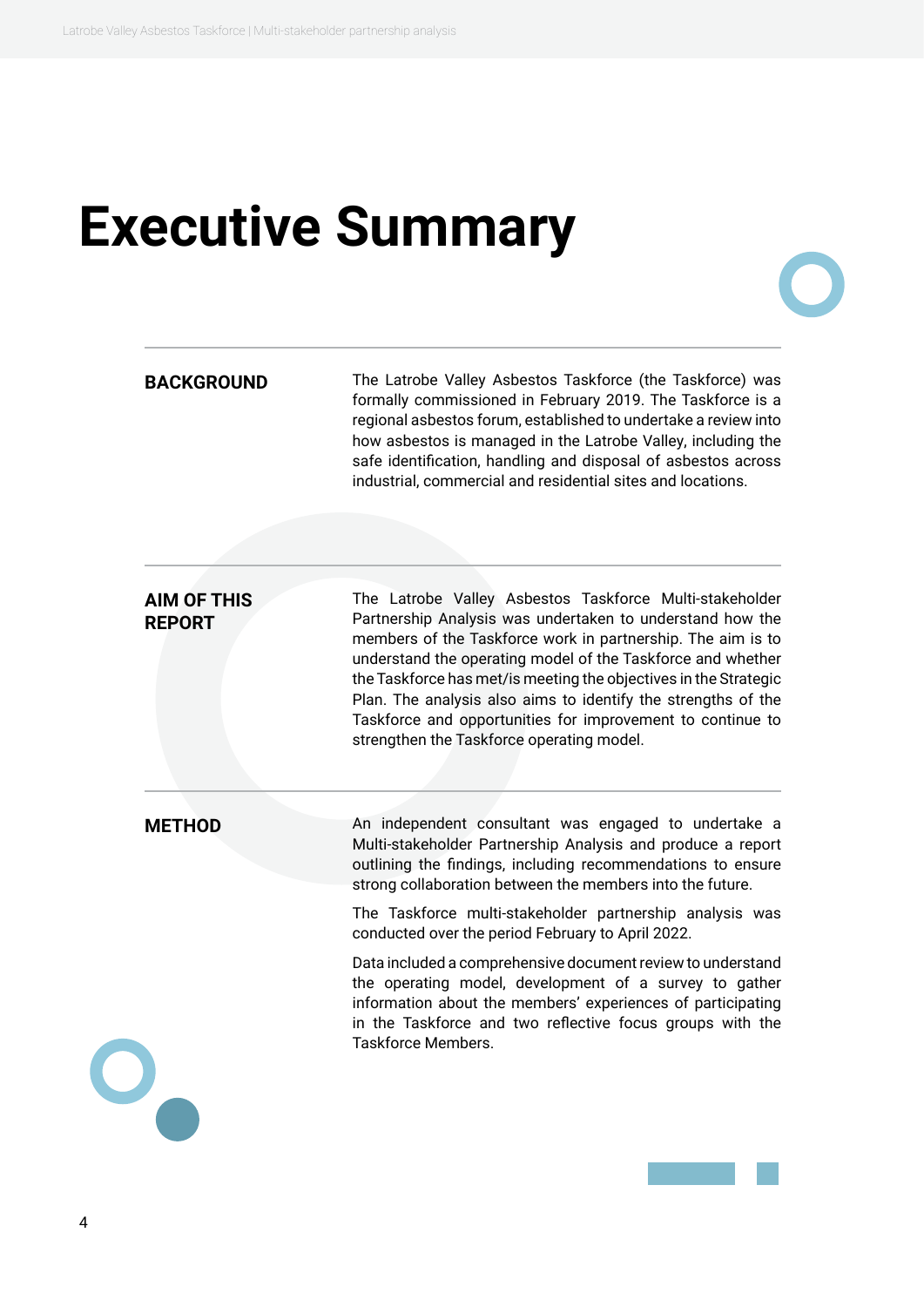### <span id="page-3-0"></span>**Executive Summary**

**BACKGROUND** The Latrobe Valley Asbestos Taskforce (the Taskforce) was formally commissioned in February 2019. The Taskforce is a regional asbestos forum, established to undertake a review into how asbestos is managed in the Latrobe Valley, including the safe identification, handling and disposal of asbestos across industrial, commercial and residential sites and locations.

#### **AIM OF THIS REPORT**

The Latrobe Valley Asbestos Taskforce Multi-stakeholder Partnership Analysis was undertaken to understand how the members of the Taskforce work in partnership. The aim is to understand the operating model of the Taskforce and whether the Taskforce has met/is meeting the objectives in the Strategic Plan. The analysis also aims to identify the strengths of the Taskforce and opportunities for improvement to continue to strengthen the Taskforce operating model.

**METHOD** An independent consultant was engaged to undertake a Multi-stakeholder Partnership Analysis and produce a report outlining the findings, including recommendations to ensure strong collaboration between the members into the future.

> The Taskforce multi-stakeholder partnership analysis was conducted over the period February to April 2022.

> Data included a comprehensive document review to understand the operating model, development of a survey to gather information about the members' experiences of participating in the Taskforce and two reflective focus groups with the Taskforce Members.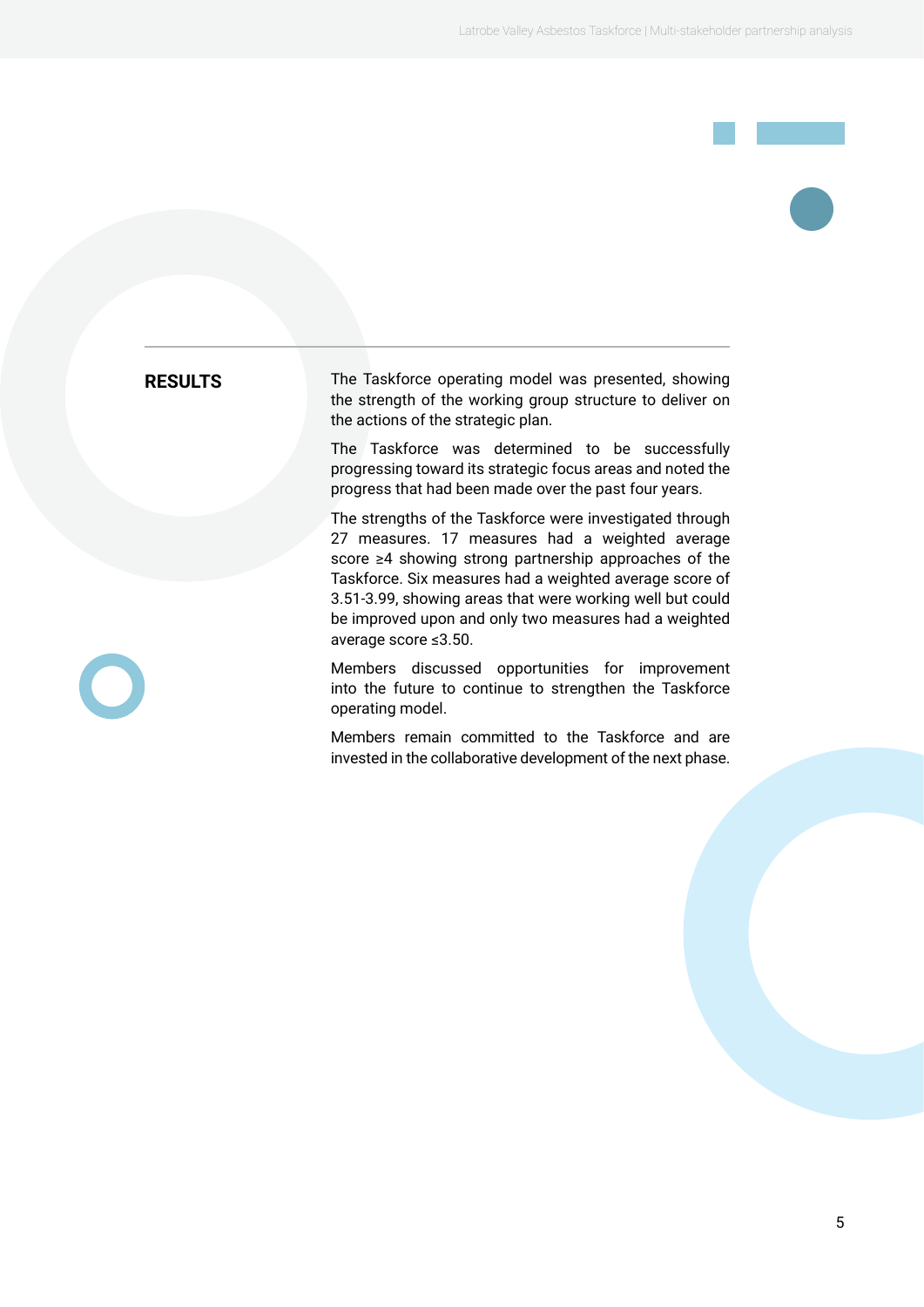**RESULTS** The Taskforce operating model was presented, showing the strength of the working group structure to deliver on the actions of the strategic plan.

> The Taskforce was determined to be successfully progressing toward its strategic focus areas and noted the progress that had been made over the past four years.

> The strengths of the Taskforce were investigated through 27 measures. 17 measures had a weighted average score ≥4 showing strong partnership approaches of the Taskforce. Six measures had a weighted average score of 3.51-3.99, showing areas that were working well but could be improved upon and only two measures had a weighted average score ≤3.50.

> Members discussed opportunities for improvement into the future to continue to strengthen the Taskforce operating model.

> Members remain committed to the Taskforce and are invested in the collaborative development of the next phase.

5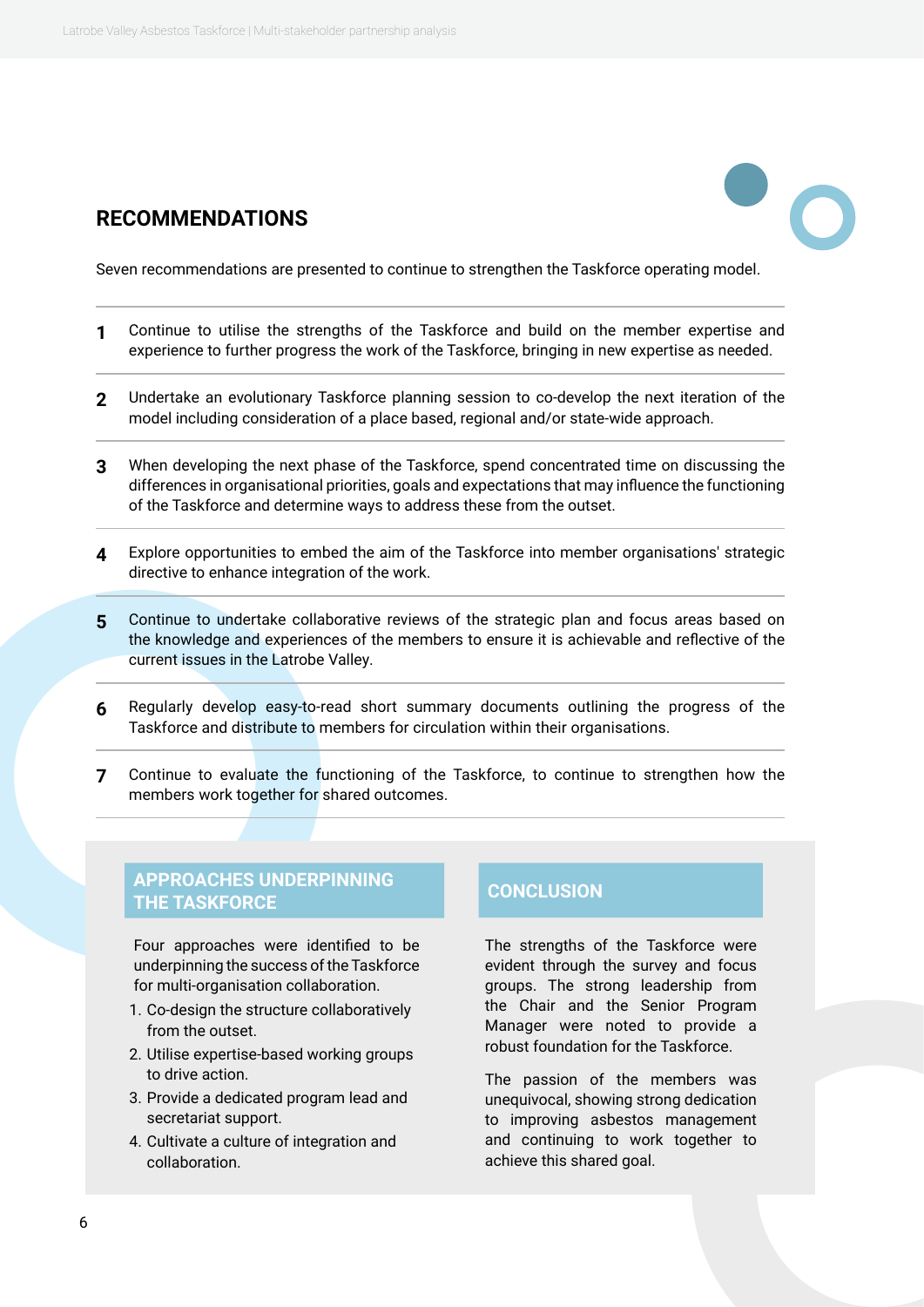#### **RECOMMENDATIONS**



Seven recommendations are presented to continue to strengthen the Taskforce operating model.

- **1** Continue to utilise the strengths of the Taskforce and build on the member expertise and experience to further progress the work of the Taskforce, bringing in new expertise as needed.
- **2** Undertake an evolutionary Taskforce planning session to co-develop the next iteration of the model including consideration of a place based, regional and/or state-wide approach.
- **3** When developing the next phase of the Taskforce, spend concentrated time on discussing the differences in organisational priorities, goals and expectations that may influence the functioning of the Taskforce and determine ways to address these from the outset.
- **4** Explore opportunities to embed the aim of the Taskforce into member organisations' strategic directive to enhance integration of the work.
- **5** Continue to undertake collaborative reviews of the strategic plan and focus areas based on the knowledge and experiences of the members to ensure it is achievable and reflective of the current issues in the Latrobe Valley.
- **6** Regularly develop easy-to-read short summary documents outlining the progress of the Taskforce and distribute to members for circulation within their organisations.
- **7** Continue to evaluate the functioning of the Taskforce, to continue to strengthen how the members work together for shared outcomes.

#### **APPROACHES UNDERPINNING THE TASKFORCE CONCLUSION**

Four approaches were identified to be underpinning the success of the Taskforce for multi-organisation collaboration.

- 1. Co-design the structure collaboratively from the outset.
- 2. Utilise expertise-based working groups to drive action.
- 3. Provide a dedicated program lead and secretariat support.
- 4. Cultivate a culture of integration and collaboration.

The strengths of the Taskforce were evident through the survey and focus groups. The strong leadership from the Chair and the Senior Program Manager were noted to provide a robust foundation for the Taskforce.

The passion of the members was unequivocal, showing strong dedication to improving asbestos management and continuing to work together to achieve this shared goal.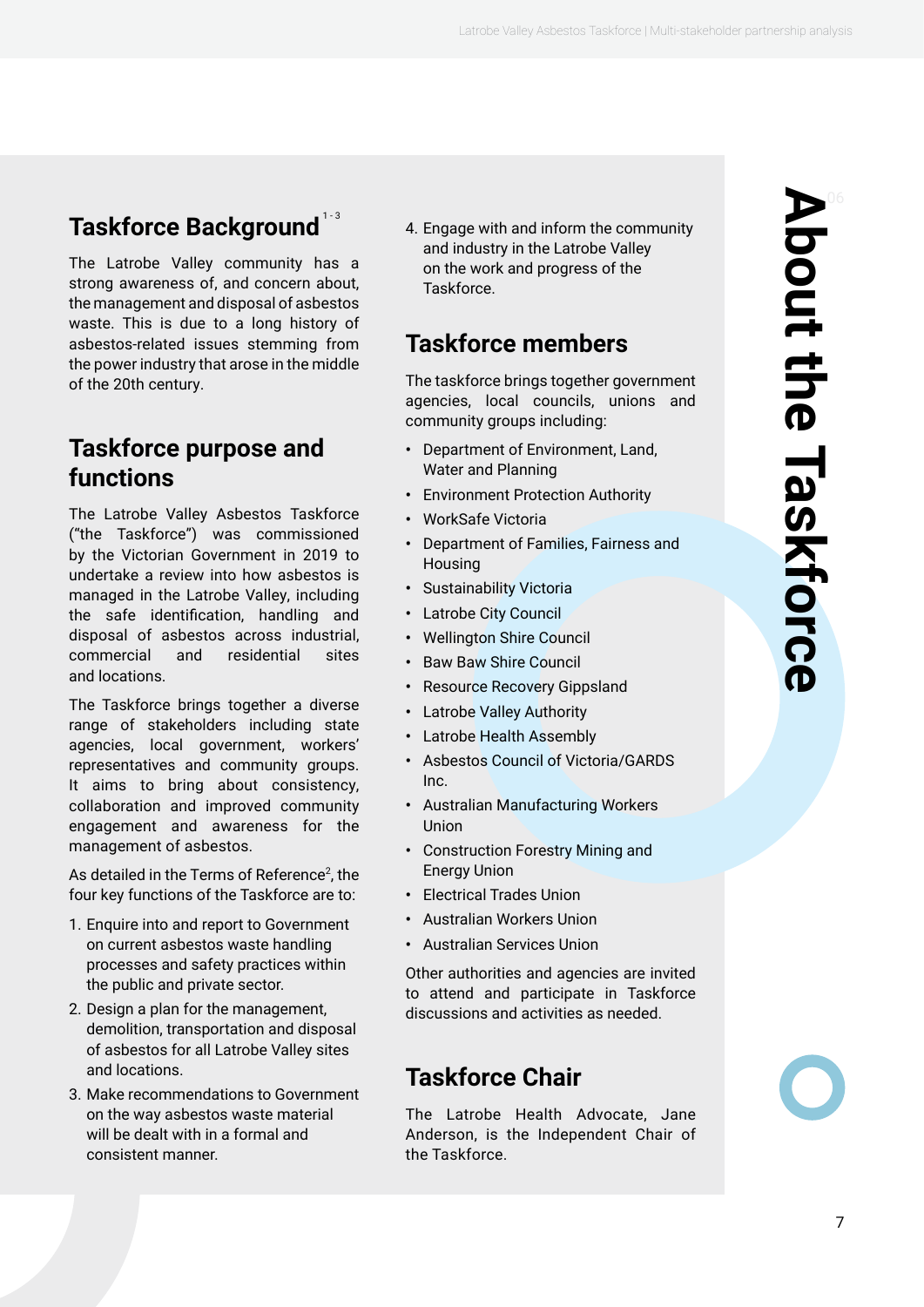### <span id="page-6-0"></span>**Taskforce Background**  $^{13}$

The Latrobe Valley community has a strong awareness of, and concern about, the management and disposal of asbestos waste. This is due to a long history of asbestos-related issues stemming from the power industry that arose in the middle of the 20th century.

### **Taskforce purpose and functions**

The Latrobe Valley Asbestos Taskforce ("the Taskforce") was commissioned by the Victorian Government in 2019 to undertake a review into how asbestos is managed in the Latrobe Valley, including the safe identification, handling and disposal of asbestos across industrial, commercial and residential sites and locations.

The Taskforce brings together a diverse range of stakeholders including state agencies, local government, workers' representatives and community groups. It aims to bring about consistency, collaboration and improved community engagement and awareness for the management of asbestos.

As detailed in the Terms of Reference<sup>2</sup>, the four key functions of the Taskforce are to:

- 1. Enquire into and report to Government on current asbestos waste handling processes and safety practices within the public and private sector.
- 2. Design a plan for the management, demolition, transportation and disposal of asbestos for all Latrobe Valley sites and locations.
- 3. Make recommendations to Government on the way asbestos waste material will be dealt with in a formal and consistent manner.

4. Engage with and inform the community and industry in the Latrobe Valley on the work and progress of the **Taskforce** 

### **Taskforce members**

The taskforce brings together government agencies, local councils, unions and community groups including:

- **•** Department of Environment, Land, Water and Planning
- **•** Environment Protection Authority
- **•** WorkSafe Victoria
- **•** Department of Families, Fairness and Housing
- **•** Sustainability Victoria
- **•** Latrobe City Council
- **•** Wellington Shire Council
- **•** Baw Baw Shire Council
- **•** Resource Recovery Gippsland
- **•** Latrobe Valley Authority
- **•** Latrobe Health Assembly
- **•** Asbestos Council of Victoria/GARDS Inc.
- **•** Australian Manufacturing Workers Union
- **•** Construction Forestry Mining and Energy Union
- **•** Electrical Trades Union
- **•** Australian Workers Union
- **•** Australian Services Union

Other authorities and agencies are invited to attend and participate in Taskforce discussions and activities as needed.

### **Taskforce Chair**

The Latrobe Health Advocate, Jane Anderson, is the Independent Chair of the Taskforce.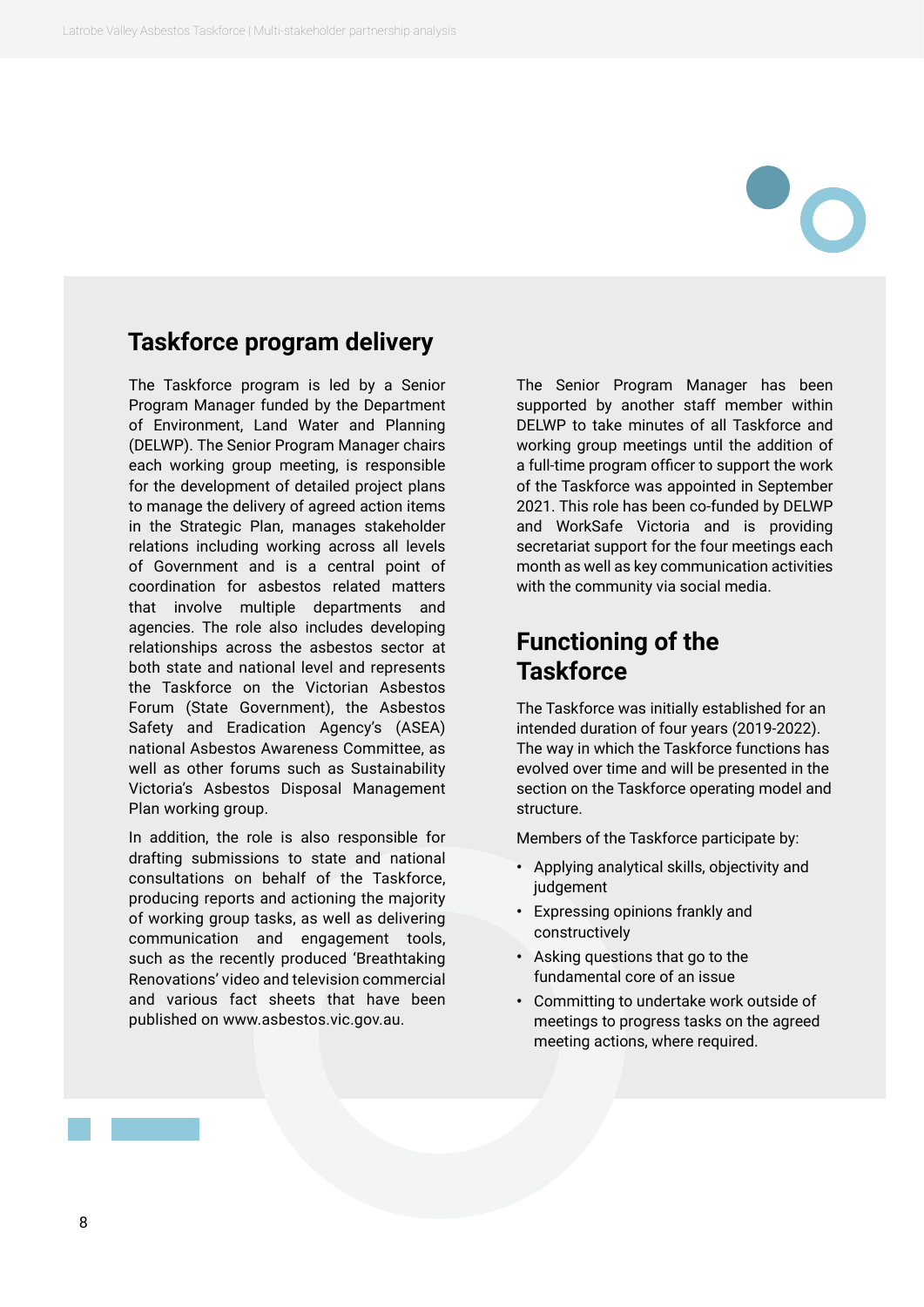#### <span id="page-7-0"></span>**Taskforce program delivery**

The Taskforce program is led by a Senior Program Manager funded by the Department of Environment, Land Water and Planning (DELWP). The Senior Program Manager chairs each working group meeting, is responsible for the development of detailed project plans to manage the delivery of agreed action items in the Strategic Plan, manages stakeholder relations including working across all levels of Government and is a central point of coordination for asbestos related matters that involve multiple departments and agencies. The role also includes developing relationships across the asbestos sector at both state and national level and represents the Taskforce on the Victorian Asbestos Forum (State Government), the Asbestos Safety and Eradication Agency's (ASEA) national Asbestos Awareness Committee, as well as other forums such as Sustainability Victoria's Asbestos Disposal Management Plan working group.

In addition, the role is also responsible for drafting submissions to state and national consultations on behalf of the Taskforce, producing reports and actioning the majority of working group tasks, as well as delivering communication and engagement tools, such as the recently produced 'Breathtaking Renovations' video and television commercial and various fact sheets that have been published on www.asbestos.vic.gov.au.

The Senior Program Manager has been supported by another staff member within DELWP to take minutes of all Taskforce and working group meetings until the addition of a full-time program officer to support the work of the Taskforce was appointed in September 2021. This role has been co-funded by DELWP and WorkSafe Victoria and is providing secretariat support for the four meetings each month as well as key communication activities with the community via social media.

### **Functioning of the Taskforce**

The Taskforce was initially established for an intended duration of four years (2019-2022). The way in which the Taskforce functions has evolved over time and will be presented in the section on the Taskforce operating model and structure.

Members of the Taskforce participate by:

- **•** Applying analytical skills, objectivity and judgement
- **•** Expressing opinions frankly and constructively
- **•** Asking questions that go to the fundamental core of an issue
- **•** Committing to undertake work outside of meetings to progress tasks on the agreed meeting actions, where required.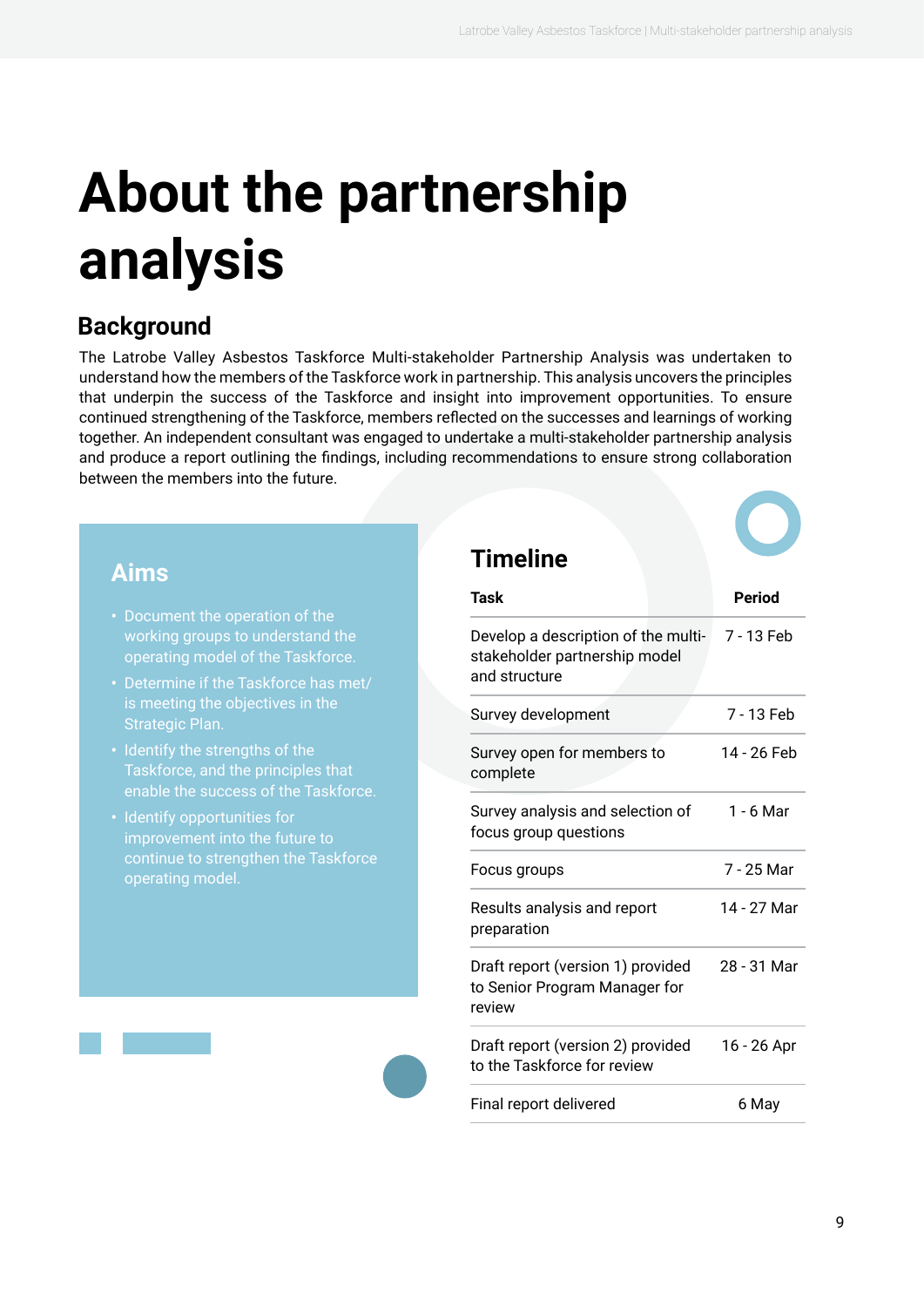# <span id="page-8-0"></span>**About the partnership analysis**

### **Background**

The Latrobe Valley Asbestos Taskforce Multi-stakeholder Partnership Analysis was undertaken to understand how the members of the Taskforce work in partnership. This analysis uncovers the principles that underpin the success of the Taskforce and insight into improvement opportunities. To ensure continued strengthening of the Taskforce, members reflected on the successes and learnings of working together. An independent consultant was engaged to undertake a multi-stakeholder partnership analysis and produce a report outlining the findings, including recommendations to ensure strong collaboration between the members into the future.

#### **Aims**

- working groups to understand the operating model of the Taskforce.
- **•** Determine if the Taskforce has met/ is meeting the objectives in the Strategic Plan.
- **•** Identify the strengths of the enable the success of the Taskforce.
- **•** Identify opportunities for improvement into the future to continue to strengthen the Taskforce

#### **Timeline**

| Task                                                                                  | <b>Period</b> |
|---------------------------------------------------------------------------------------|---------------|
| Develop a description of the multi-<br>stakeholder partnership model<br>and structure | 7 - 13 Feb    |
| Survey development                                                                    | 7 - 13 Feb    |
| Survey open for members to<br>complete                                                | 14 - 26 Feb   |
| Survey analysis and selection of<br>focus group questions                             | 1 - 6 Mar     |
| Focus groups                                                                          | 7 - 25 Mar    |
| Results analysis and report<br>preparation                                            | 14 - 27 Mar   |
| Draft report (version 1) provided<br>to Senior Program Manager for<br>review          | 28 - 31 Mar   |
| Draft report (version 2) provided<br>to the Taskforce for review                      | 16 - 26 Apr   |
| Final report delivered                                                                | 6 May         |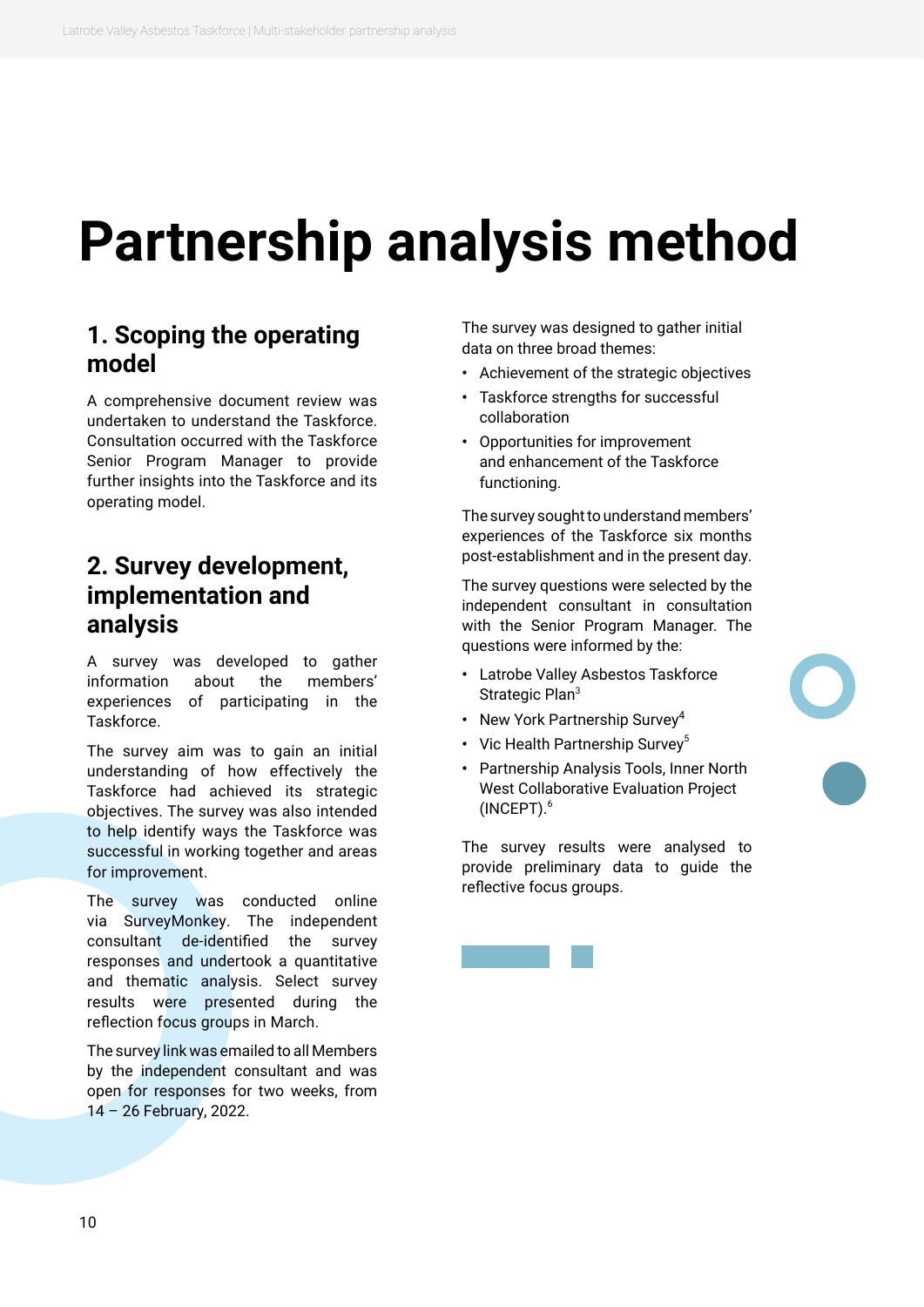### <span id="page-9-0"></span>**Partnership analysis method**

#### **1. Scoping the operating model**

A comprehensive document review was undertaken to understand the Taskforce. Consultation occurred with the Taskforce Senior Program Manager to provide further insights into the Taskforce and its operating model.

#### **2. Survey development, implementation and analysis**

A survey was developed to gather information about the members' experiences of participating in the Taskforce.

The survey aim was to gain an initial understanding of how effectively the Taskforce had achieved its strategic objectives. The survey was also intended to help identify ways the Taskforce was successful in working together and areas for improvement.

The survey was conducted online via SurveyMonkey. The independent consultant de-identified the survey responses and undertook a quantitative and thematic analysis. Select survey results were presented during the reflection focus groups in March.

The survey link was emailed to all Members by the independent consultant and was open for responses for two weeks, from 14 – 26 February, 2022.

The survey was designed to gather initial data on three broad themes:

- **•** Achievement of the strategic objectives
- **•** Taskforce strengths for successful collaboration
- **•** Opportunities for improvement and enhancement of the Taskforce functioning.

The survey sought to understand members' experiences of the Taskforce six months post-establishment and in the present day.

The survey questions were selected by the independent consultant in consultation with the Senior Program Manager. The questions were informed by the:

- **•** Latrobe Valley Asbestos Taskforce Strategic Plan<sup>3</sup>
- **•** New York Partnership Survey<sup>4</sup>
- Vic Health Partnership Survey<sup>5</sup>
- **•** Partnership Analysis Tools, Inner North West Collaborative Evaluation Project (INCEPT).6

The survey results were analysed to provide preliminary data to guide the reflective focus groups.

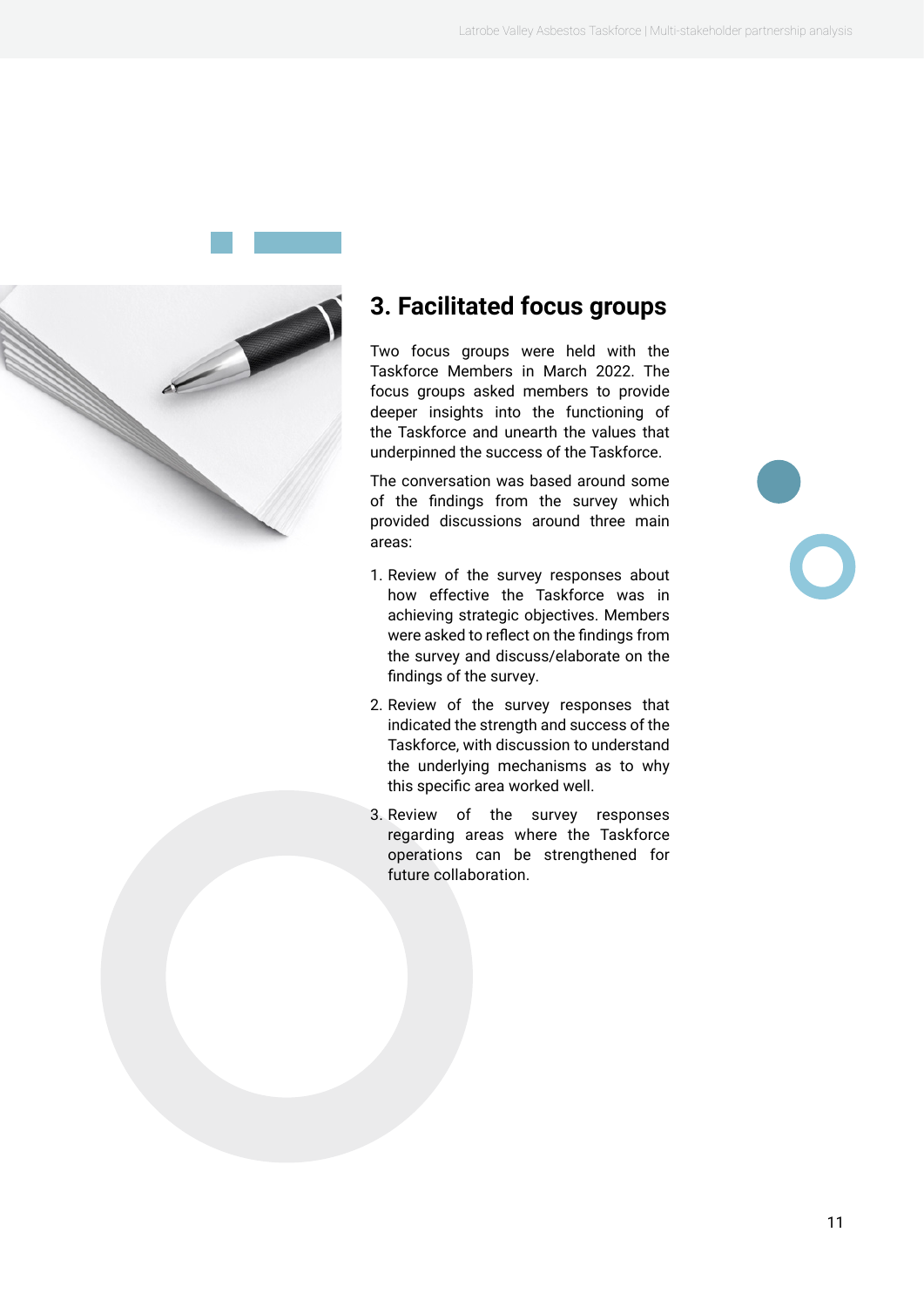

<span id="page-10-0"></span>

### **3. Facilitated focus groups**

Two focus groups were held with the Taskforce Members in March 2022. The focus groups asked members to provide deeper insights into the functioning of the Taskforce and unearth the values that underpinned the success of the Taskforce.

The conversation was based around some of the findings from the survey which provided discussions around three main areas:

- 1. Review of the survey responses about how effective the Taskforce was in achieving strategic objectives. Members were asked to reflect on the findings from the survey and discuss/elaborate on the findings of the survey.
- 2. Review of the survey responses that indicated the strength and success of the Taskforce, with discussion to understand the underlying mechanisms as to why this specific area worked well.
- 3. Review of the survey responses regarding areas where the Taskforce operations can be strengthened for future collaboration.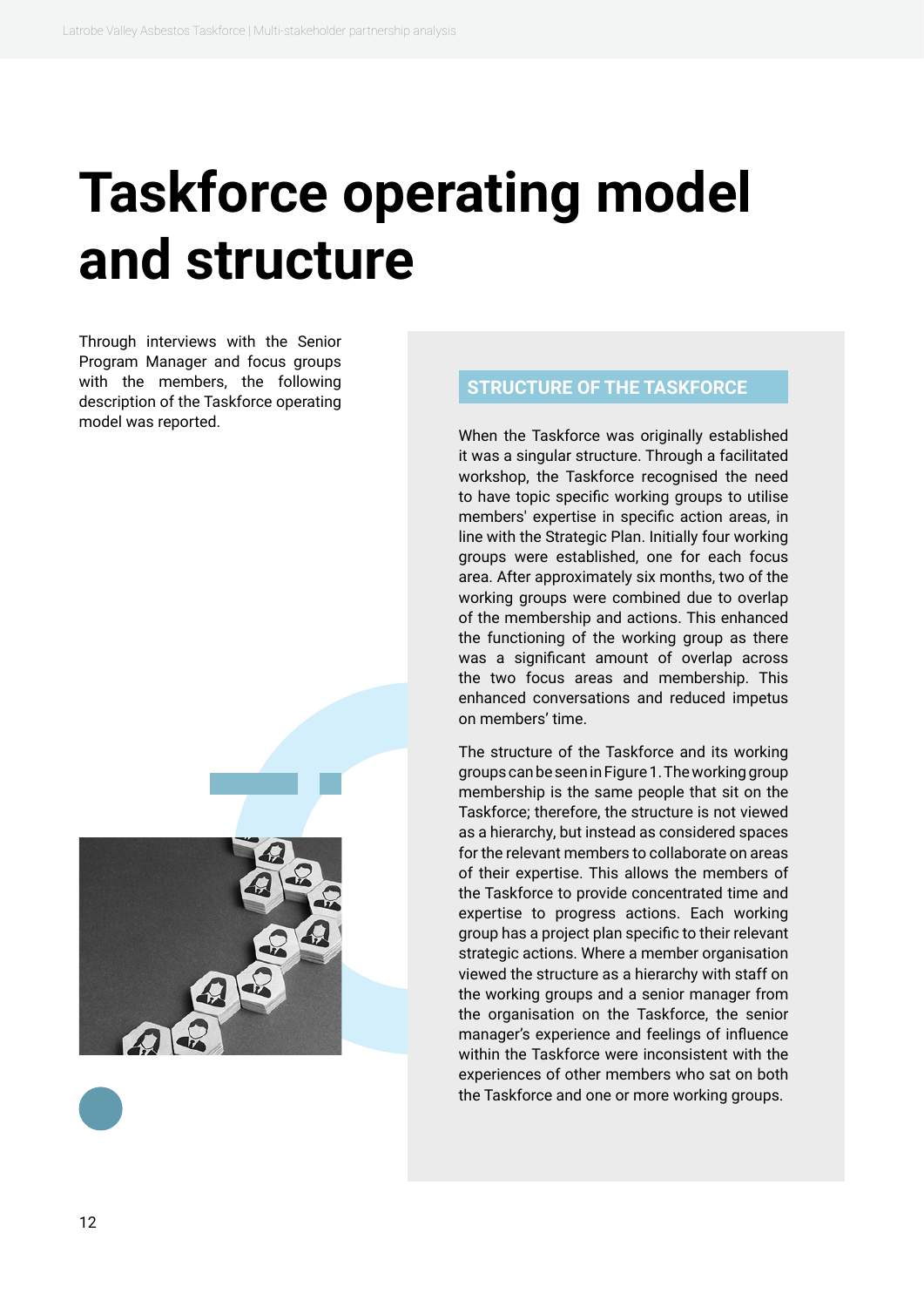# <span id="page-11-0"></span>**Taskforce operating model and structure**

Through interviews with the Senior Program Manager and focus groups with the members, the following description of the Taskforce operating model was reported.



#### **STRUCTURE OF THE TASKFORCE**

When the Taskforce was originally established it was a singular structure. Through a facilitated workshop, the Taskforce recognised the need to have topic specific working groups to utilise members' expertise in specific action areas, in line with the Strategic Plan. Initially four working groups were established, one for each focus area. After approximately six months, two of the working groups were combined due to overlap of the membership and actions. This enhanced the functioning of the working group as there was a significant amount of overlap across the two focus areas and membership. This enhanced conversations and reduced impetus on members' time.

The structure of the Taskforce and its working groups can be seen in Figure 1. The working group membership is the same people that sit on the Taskforce; therefore, the structure is not viewed as a hierarchy, but instead as considered spaces for the relevant members to collaborate on areas of their expertise. This allows the members of the Taskforce to provide concentrated time and expertise to progress actions. Each working group has a project plan specific to their relevant strategic actions. Where a member organisation viewed the structure as a hierarchy with staff on the working groups and a senior manager from the organisation on the Taskforce, the senior manager's experience and feelings of influence within the Taskforce were inconsistent with the experiences of other members who sat on both the Taskforce and one or more working groups.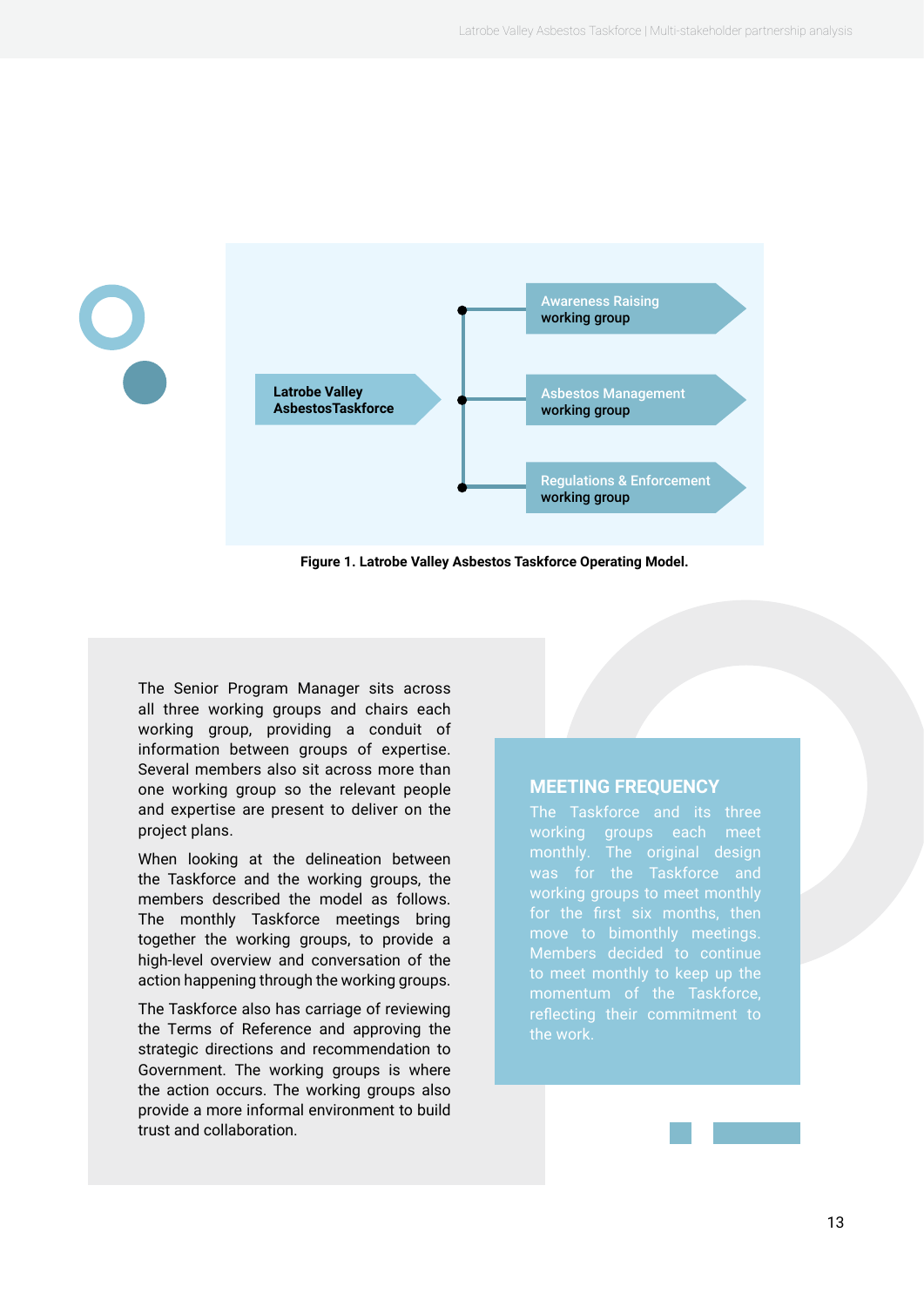

**Figure 1. Latrobe Valley Asbestos Taskforce Operating Model.**

The Senior Program Manager sits across all three working groups and chairs each working group, providing a conduit of information between groups of expertise. Several members also sit across more than one working group so the relevant people and expertise are present to deliver on the project plans.

When looking at the delineation between the Taskforce and the working groups, the members described the model as follows. The monthly Taskforce meetings bring together the working groups, to provide a high-level overview and conversation of the action happening through the working groups.

The Taskforce also has carriage of reviewing the Terms of Reference and approving the strategic directions and recommendation to Government. The working groups is where the action occurs. The working groups also provide a more informal environment to build trust and collaboration.

#### **MEETING FREQUENCY**

The Taskforce and its three monthly. The original design working groups to meet monthly move to bimonthly meetings. Members decided to continue the work.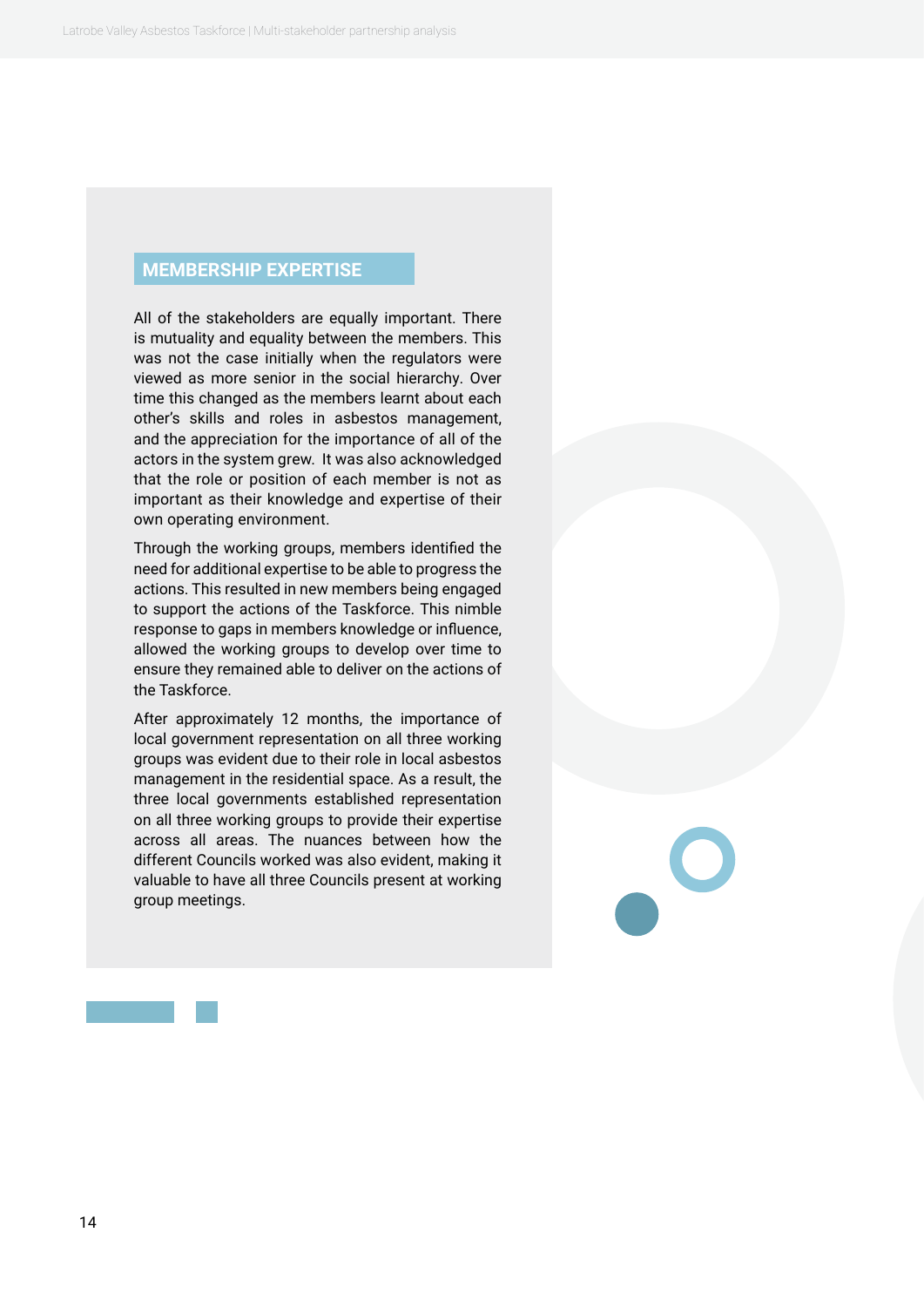#### **MEMBERSHIP EXPERTISE**

All of the stakeholders are equally important. There is mutuality and equality between the members. This was not the case initially when the regulators were viewed as more senior in the social hierarchy. Over time this changed as the members learnt about each other's skills and roles in asbestos management, and the appreciation for the importance of all of the actors in the system grew. It was also acknowledged that the role or position of each member is not as important as their knowledge and expertise of their own operating environment.

Through the working groups, members identified the need for additional expertise to be able to progress the actions. This resulted in new members being engaged to support the actions of the Taskforce. This nimble response to gaps in members knowledge or influence, allowed the working groups to develop over time to ensure they remained able to deliver on the actions of the Taskforce.

After approximately 12 months, the importance of local government representation on all three working groups was evident due to their role in local asbestos management in the residential space. As a result, the three local governments established representation on all three working groups to provide their expertise across all areas. The nuances between how the different Councils worked was also evident, making it valuable to have all three Councils present at working group meetings.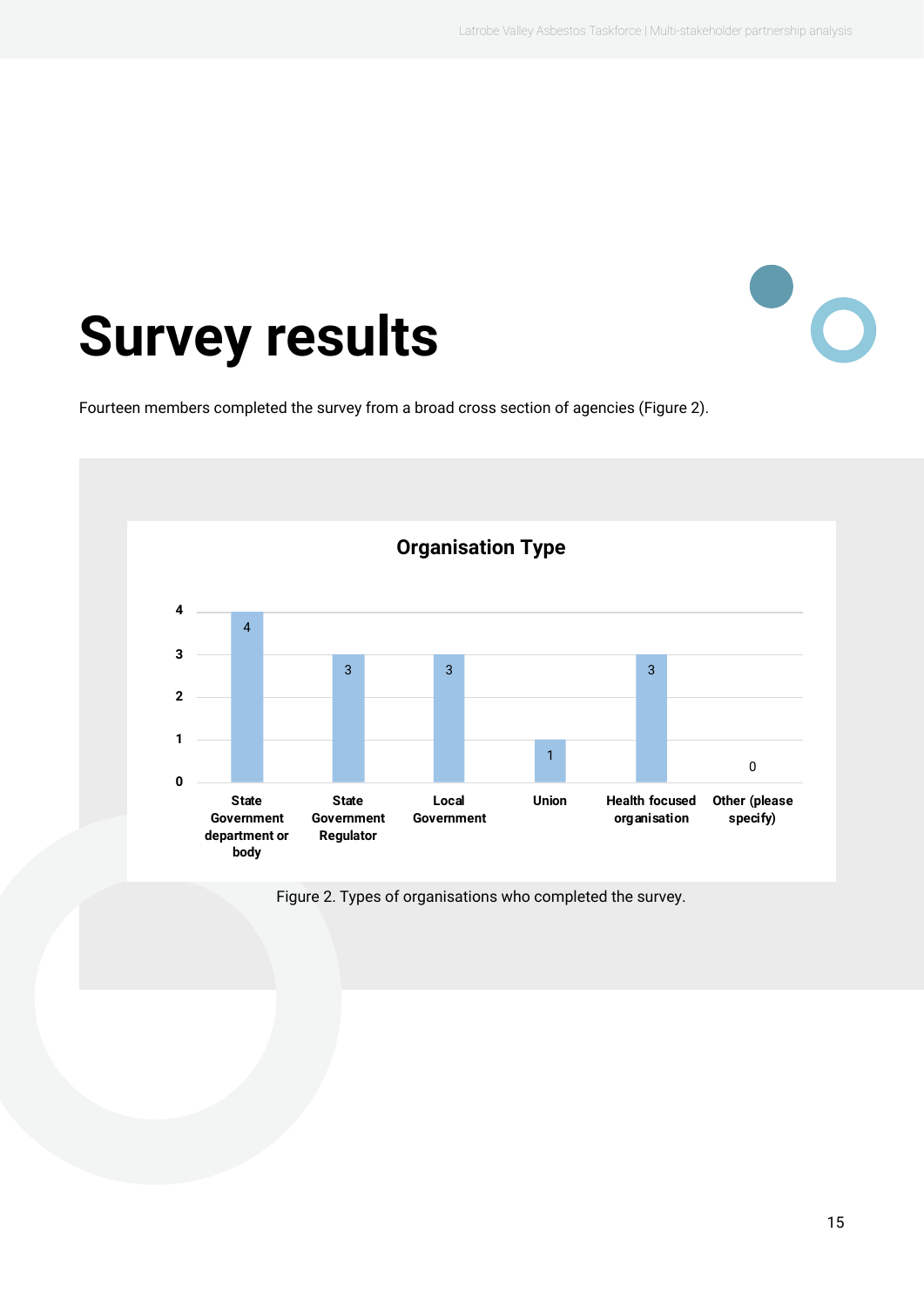$\bullet$ 

## <span id="page-14-0"></span>**Survey results**

Fourteen members completed the survey from a broad cross section of agencies (Figure 2).



Figure 2. Types of organisations who completed the survey.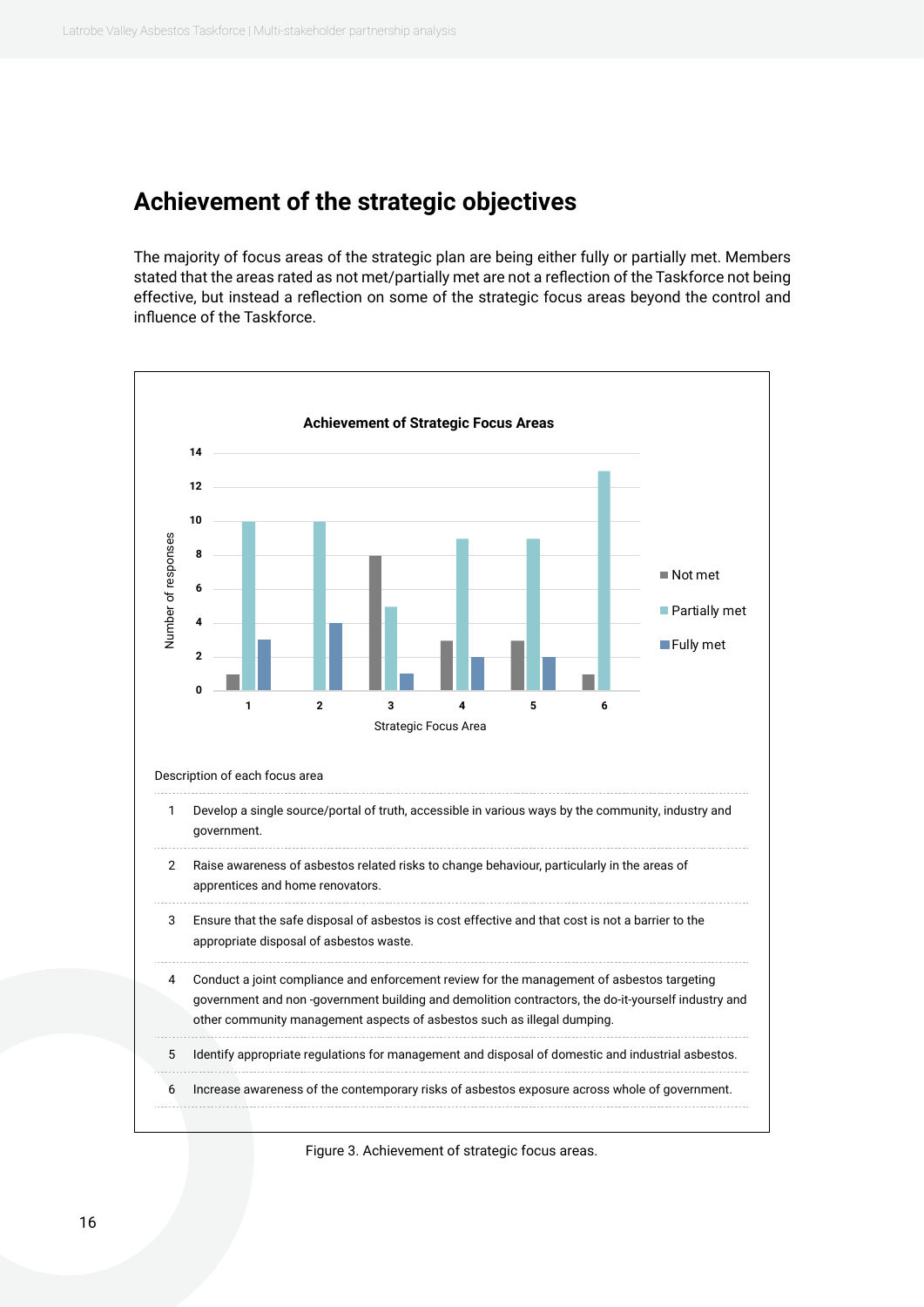#### <span id="page-15-0"></span>**Achievement of the strategic objectives**

The majority of focus areas of the strategic plan are being either fully or partially met. Members stated that the areas rated as not met/partially met are not a reflection of the Taskforce not being effective, but instead a reflection on some of the strategic focus areas beyond the control and influence of the Taskforce.



Figure 3. Achievement of strategic focus areas.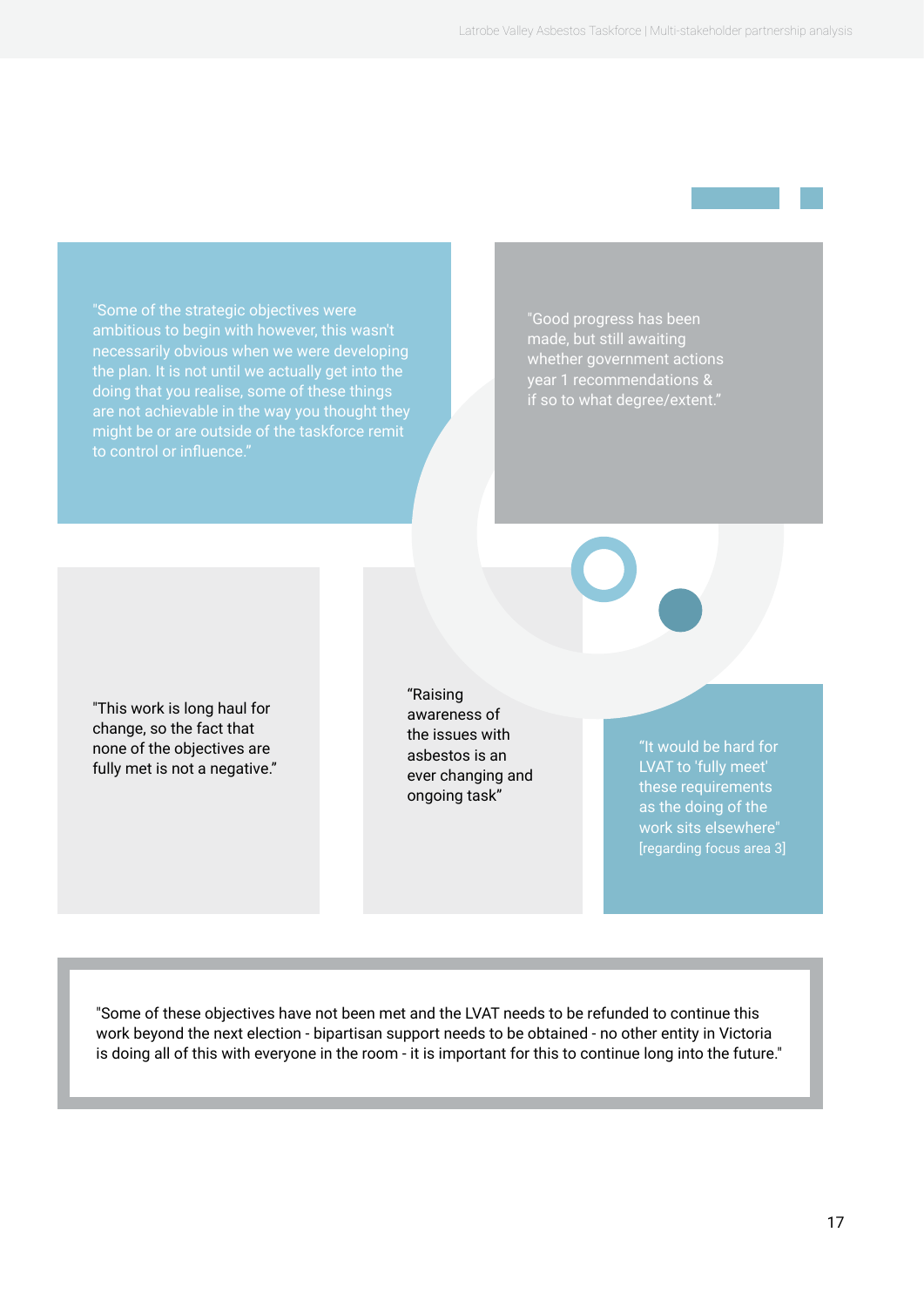"Some of the strategic objectives were ambitious to begin with however, this wasn't necessarily obvious when we were developing the plan. It is not until we actually get into the doing that you realise, some of these things are not achievable in the way you thought they might be or are outside of the taskforce remit

"Good progress has been made, but still awaiting whether government actions year 1 recommendations & if so to what degree/extent."

"This work is long haul for change, so the fact that none of the objectives are fully met is not a negative." "Raising awareness of the issues with asbestos is an ever changing and ongoing task"

"It would be hard for LVAT to 'fully meet' these requirements as the doing of the work sits elsewhere" [regarding focus area 3]

"Some of these objectives have not been met and the LVAT needs to be refunded to continue this work beyond the next election - bipartisan support needs to be obtained - no other entity in Victoria is doing all of this with everyone in the room - it is important for this to continue long into the future."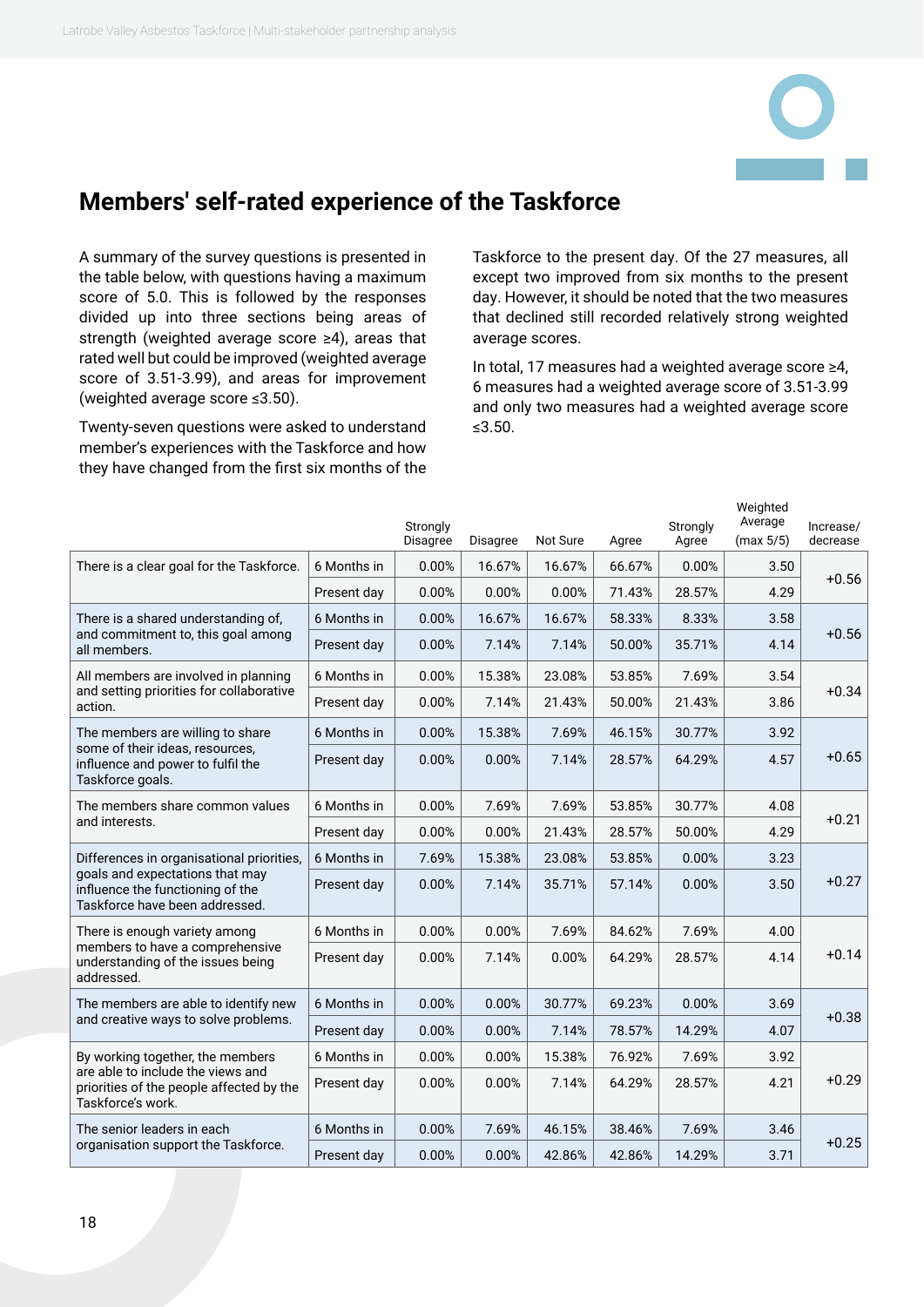#### <span id="page-17-0"></span>**Members' self-rated experience of the Taskforce**

A summary of the survey questions is presented in the table below, with questions having a maximum score of 5.0. This is followed by the responses divided up into three sections being areas of strength (weighted average score ≥4), areas that rated well but could be improved (weighted average score of 3.51-3.99), and areas for improvement (weighted average score ≤3.50).

Twenty-seven questions were asked to understand member's experiences with the Taskforce and how they have changed from the first six months of the Taskforce to the present day. Of the 27 measures, all except two improved from six months to the present day. However, it should be noted that the two measures that declined still recorded relatively strong weighted average scores.

In total, 17 measures had a weighted average score ≥4, 6 measures had a weighted average score of 3.51-3.99 and only two measures had a weighted average score ≤3.50.

|                                                                                                       |             | Strongly<br>Disagree | Disagree | Not Sure | Agree  | Strongly<br>Agree | Weighted<br>Average<br>(max 5/5) | Increase/<br>decrease |
|-------------------------------------------------------------------------------------------------------|-------------|----------------------|----------|----------|--------|-------------------|----------------------------------|-----------------------|
| There is a clear goal for the Taskforce.                                                              | 6 Months in | 0.00%                | 16.67%   | 16.67%   | 66.67% | 0.00%             | 3.50                             |                       |
|                                                                                                       | Present day | 0.00%                | 0.00%    | 0.00%    | 71.43% | 28.57%            | 4.29                             | $+0.56$               |
| There is a shared understanding of,                                                                   | 6 Months in | 0.00%                | 16.67%   | 16.67%   | 58.33% | 8.33%             | 3.58                             |                       |
| and commitment to, this goal among<br>all members.                                                    | Present day | 0.00%                | 7.14%    | 7.14%    | 50.00% | 35.71%            | 4.14                             | $+0.56$               |
| All members are involved in planning                                                                  | 6 Months in | 0.00%                | 15.38%   | 23.08%   | 53.85% | 7.69%             | 3.54                             |                       |
| and setting priorities for collaborative<br>action.                                                   | Present day | 0.00%                | 7.14%    | 21.43%   | 50.00% | 21.43%            | 3.86                             | $+0.34$               |
| The members are willing to share                                                                      | 6 Months in | 0.00%                | 15.38%   | 7.69%    | 46.15% | 30.77%            | 3.92                             |                       |
| some of their ideas, resources,<br>influence and power to fulfil the<br>Taskforce goals.              | Present day | 0.00%                | 0.00%    | 7.14%    | 28.57% | 64.29%            | 4.57                             | $+0.65$               |
| The members share common values                                                                       | 6 Months in | 0.00%                | 7.69%    | 7.69%    | 53.85% | 30.77%            | 4.08                             |                       |
| and interests.                                                                                        | Present day | 0.00%                | 0.00%    | 21.43%   | 28.57% | 50.00%            | 4.29                             | $+0.21$               |
| Differences in organisational priorities,                                                             | 6 Months in | 7.69%                | 15.38%   | 23.08%   | 53.85% | 0.00%             | 3.23                             |                       |
| goals and expectations that may<br>influence the functioning of the<br>Taskforce have been addressed. | Present day | 0.00%                | 7.14%    | 35.71%   | 57.14% | 0.00%             | 3.50                             | $+0.27$               |
| There is enough variety among                                                                         | 6 Months in | 0.00%                | 0.00%    | 7.69%    | 84.62% | 7.69%             | 4.00                             |                       |
| members to have a comprehensive<br>understanding of the issues being<br>addressed.                    | Present day | 0.00%                | 7.14%    | 0.00%    | 64.29% | 28.57%            | 4.14                             | $+0.14$               |
| The members are able to identify new                                                                  | 6 Months in | 0.00%                | 0.00%    | 30.77%   | 69.23% | 0.00%             | 3.69                             |                       |
| and creative ways to solve problems.                                                                  | Present day | 0.00%                | 0.00%    | 7.14%    | 78.57% | 14.29%            | 4.07                             | $+0.38$               |
| By working together, the members                                                                      | 6 Months in | 0.00%                | 0.00%    | 15.38%   | 76.92% | 7.69%             | 3.92                             |                       |
| are able to include the views and<br>priorities of the people affected by the<br>Taskforce's work.    | Present day | 0.00%                | 0.00%    | 7.14%    | 64.29% | 28.57%            | 4.21                             | $+0.29$               |
| The senior leaders in each                                                                            | 6 Months in | 0.00%                | 7.69%    | 46.15%   | 38.46% | 7.69%             | 3.46                             |                       |
| organisation support the Taskforce.                                                                   | Present day | 0.00%                | 0.00%    | 42.86%   | 42.86% | 14.29%            | 3.71                             | $+0.25$               |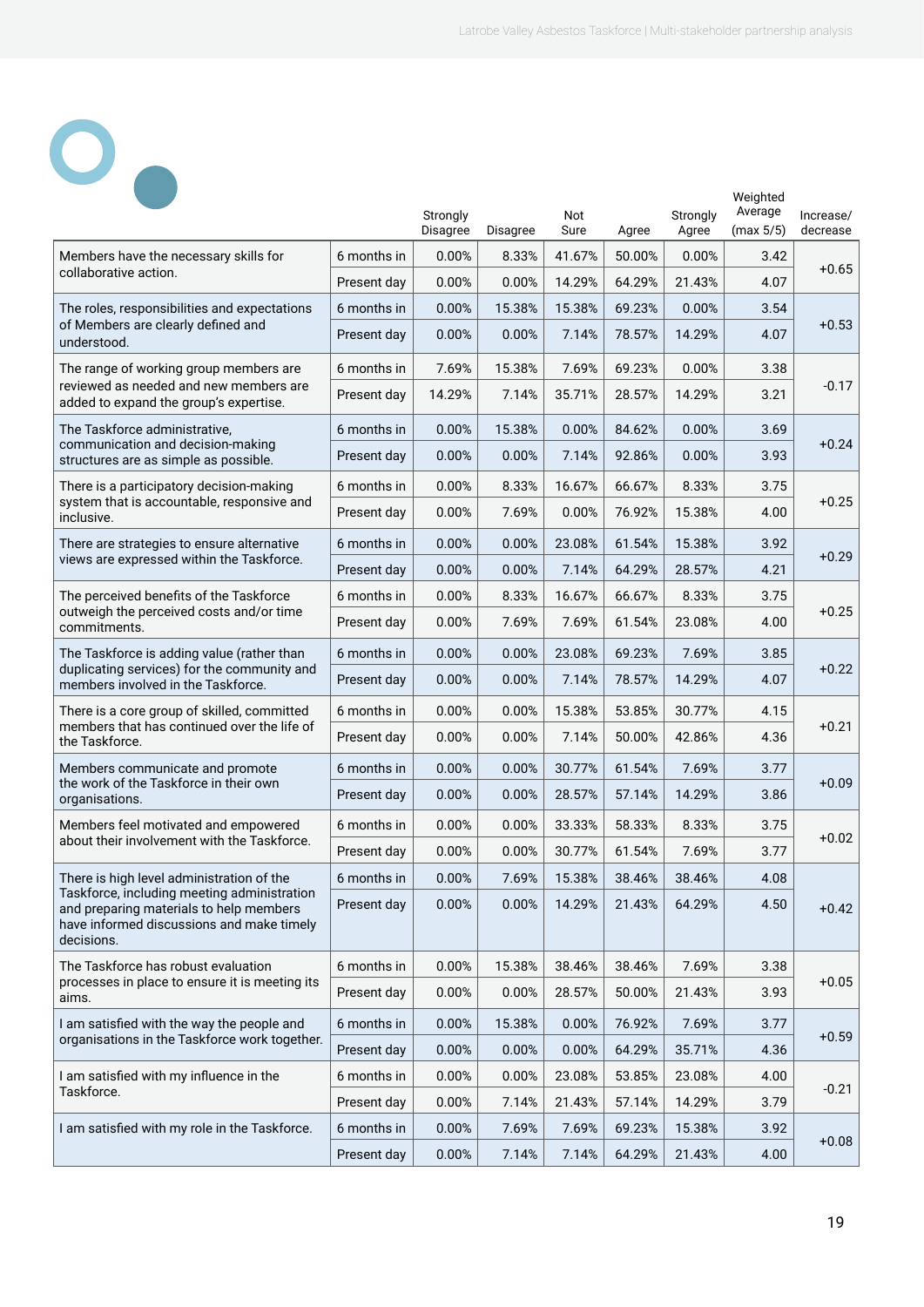Weighted

# $\overline{\mathbf{o}}_{\bullet}$

|                                                                                                                                                   |                                                   | Strongly<br>Disagree | Disagree | Not<br>Sure | Agree  | Strongly<br>Agree | Average<br>(max 5/5) | Increase/<br>decrease |
|---------------------------------------------------------------------------------------------------------------------------------------------------|---------------------------------------------------|----------------------|----------|-------------|--------|-------------------|----------------------|-----------------------|
| Members have the necessary skills for                                                                                                             | 6 months in                                       | 0.00%                | 8.33%    | 41.67%      | 50.00% | 0.00%             | 3.42                 |                       |
| collaborative action.                                                                                                                             | Present day                                       | 0.00%                | 0.00%    | 14.29%      | 64.29% | 21.43%            | 4.07                 | $+0.65$               |
| The roles, responsibilities and expectations                                                                                                      | 6 months in                                       | 0.00%                | 15.38%   | 15.38%      | 69.23% | 0.00%             | 3.54                 |                       |
| of Members are clearly defined and<br>understood.                                                                                                 | Present day                                       | 0.00%                | 0.00%    | 7.14%       | 78.57% | 14.29%            | 4.07                 | $+0.53$               |
| The range of working group members are                                                                                                            | 6 months in                                       | 7.69%                | 15.38%   | 7.69%       | 69.23% | 0.00%             | 3.38                 |                       |
| reviewed as needed and new members are<br>added to expand the group's expertise.                                                                  | Present day                                       | 14.29%               | 7.14%    | 35.71%      | 28.57% | 14.29%            | 3.21                 | $-0.17$               |
| The Taskforce administrative,                                                                                                                     | 6 months in                                       | 0.00%                | 15.38%   | 0.00%       | 84.62% | 0.00%             | 3.69                 |                       |
| communication and decision-making<br>structures are as simple as possible.                                                                        | Present day                                       | 0.00%                | 0.00%    | 7.14%       | 92.86% | 0.00%             | 3.93                 | $+0.24$               |
| There is a participatory decision-making                                                                                                          | 6 months in                                       | 0.00%                | 8.33%    | 16.67%      | 66.67% | 8.33%             | 3.75                 |                       |
| system that is accountable, responsive and<br>inclusive.                                                                                          | Present day                                       | 0.00%                | 7.69%    | 0.00%       | 76.92% | 15.38%            | 4.00                 | $+0.25$               |
| There are strategies to ensure alternative                                                                                                        | 6 months in                                       | 0.00%                | 0.00%    | 23.08%      | 61.54% | 15.38%            | 3.92                 |                       |
| views are expressed within the Taskforce.                                                                                                         | Present day                                       | 0.00%                | 0.00%    | 7.14%       | 64.29% | 28.57%            | 4.21                 | $+0.29$               |
| The perceived benefits of the Taskforce                                                                                                           | 6 months in                                       | 0.00%                | 8.33%    | 16.67%      | 66.67% | 8.33%             | 3.75                 |                       |
| outweigh the perceived costs and/or time<br>commitments.                                                                                          | Present day                                       | 0.00%                | 7.69%    | 7.69%       | 61.54% | 23.08%            | 4.00                 | $+0.25$               |
| The Taskforce is adding value (rather than                                                                                                        | 6 months in                                       | 0.00%                | 0.00%    | 23.08%      | 69.23% | 7.69%             | 3.85                 |                       |
| duplicating services) for the community and<br>members involved in the Taskforce.                                                                 | Present day                                       | 0.00%                | 0.00%    | 7.14%       | 78.57% | 14.29%            | 4.07                 | $+0.22$               |
| There is a core group of skilled, committed                                                                                                       | 6 months in                                       | 0.00%                | 0.00%    | 15.38%      | 53.85% | 30.77%            | 4.15                 | $+0.21$<br>4.36       |
| members that has continued over the life of<br>the Taskforce.                                                                                     | Present day                                       | 0.00%                | 0.00%    | 7.14%       | 50.00% | 42.86%            |                      |                       |
| Members communicate and promote                                                                                                                   | 6 months in                                       | 0.00%                | 0.00%    | 30.77%      | 61.54% | 7.69%             | 3.77                 |                       |
| the work of the Taskforce in their own<br>organisations.                                                                                          | Present day                                       | 0.00%                | 0.00%    | 28.57%      | 57.14% | 14.29%            | 3.86                 | $+0.09$               |
| Members feel motivated and empowered                                                                                                              | 6 months in                                       | 0.00%                | 0.00%    | 33.33%      | 58.33% | 8.33%             | 3.75                 | $+0.02$               |
| about their involvement with the Taskforce.                                                                                                       | Present day                                       | 0.00%                | 0.00%    | 30.77%      | 61.54% | 7.69%             | 3.77                 |                       |
| There is high level administration of the                                                                                                         | 6 months in                                       | 0.00%                | 7.69%    | 15.38%      | 38.46% | 38.46%            | 4.08                 |                       |
| Taskforce, including meeting administration<br>and preparing materials to help members<br>have informed discussions and make timely<br>decisions. | Present day                                       | 0.00%                | $0.00\%$ | 14.29%      | 21.43% | 64.29%            | 4.50                 | $+0.42$               |
| The Taskforce has robust evaluation                                                                                                               | 6 months in                                       | 0.00%                | 15.38%   | 38.46%      | 38.46% | 7.69%             | 3.38                 |                       |
| processes in place to ensure it is meeting its<br>aims.                                                                                           | Present day<br>0.00%<br>0.00%<br>28.57%<br>50.00% | 21.43%               | 3.93     | $+0.05$     |        |                   |                      |                       |
| I am satisfied with the way the people and                                                                                                        | 6 months in                                       | 0.00%                | 15.38%   | 0.00%       | 76.92% | 7.69%             | 3.77                 | $+0.59$               |
| organisations in the Taskforce work together.                                                                                                     | Present day                                       | 0.00%                | 0.00%    | 0.00%       | 64.29% | 35.71%            | 4.36                 |                       |
| I am satisfied with my influence in the                                                                                                           | 6 months in                                       | 0.00%                | 0.00%    | 23.08%      | 53.85% | 23.08%            | 4.00                 | $-0.21$               |
| Taskforce.                                                                                                                                        | Present day                                       | 0.00%                | 7.14%    | 21.43%      | 57.14% | 14.29%            | 3.79                 |                       |
| I am satisfied with my role in the Taskforce.                                                                                                     | 6 months in                                       | 0.00%                | 7.69%    | 7.69%       | 69.23% | 15.38%            | 3.92                 | $+0.08$               |
|                                                                                                                                                   | Present day                                       | 0.00%                | 7.14%    | 7.14%       | 64.29% | 21.43%            | 4.00                 |                       |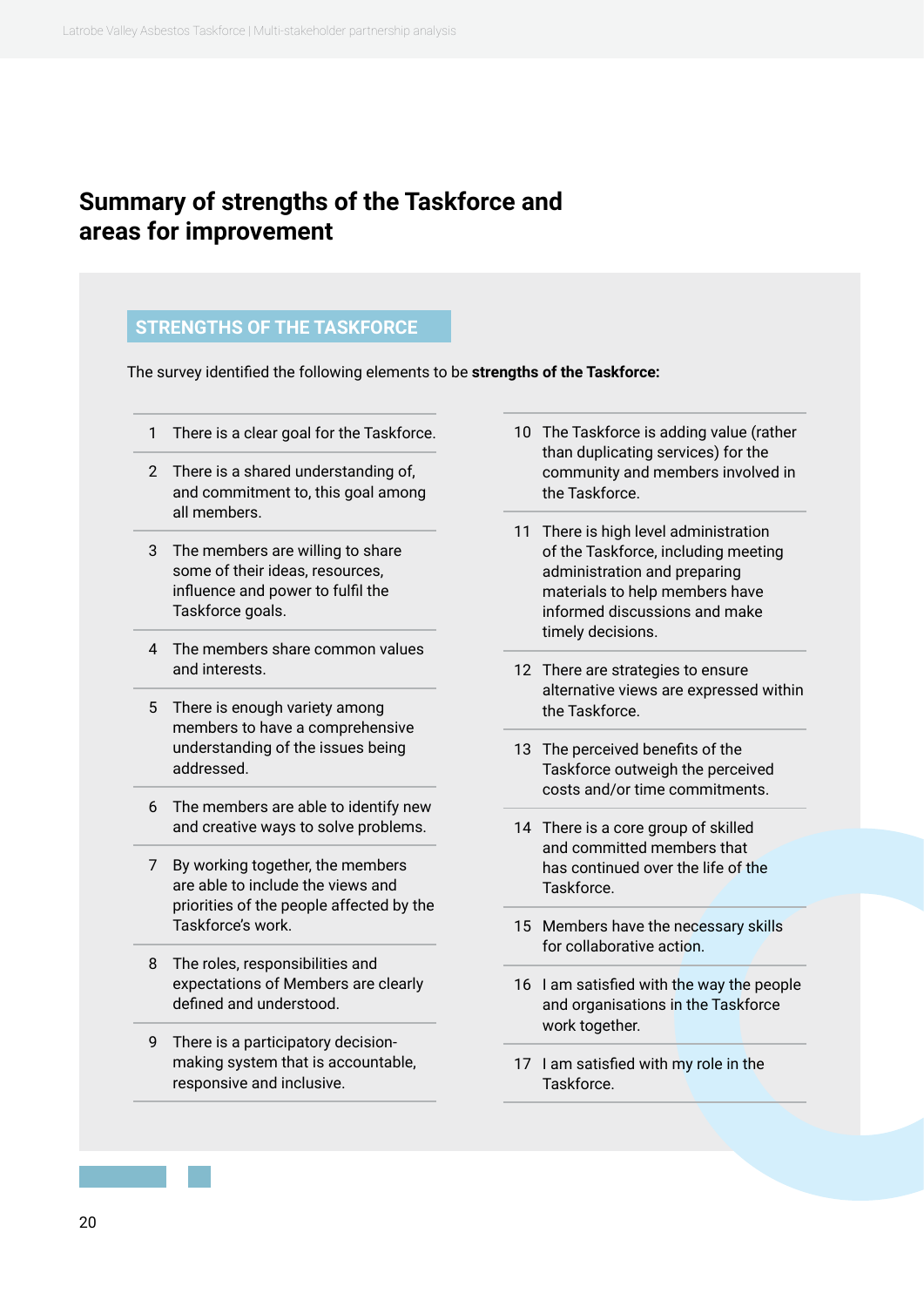#### <span id="page-19-0"></span>**Summary of strengths of the Taskforce and areas for improvement**

#### **STRENGTHS OF THE TASKFORCE**

The survey identified the following elements to be **strengths of the Taskforce:**

- 1 There is a clear goal for the Taskforce.
- 2 There is a shared understanding of, and commitment to, this goal among all members.
- 3 The members are willing to share some of their ideas, resources, influence and power to fulfil the Taskforce goals.
- 4 The members share common values and interests.
- 5 There is enough variety among members to have a comprehensive understanding of the issues being addressed.
- 6 The members are able to identify new and creative ways to solve problems.
- 7 By working together, the members are able to include the views and priorities of the people affected by the Taskforce's work.
- 8 The roles, responsibilities and expectations of Members are clearly defined and understood.
- 9 There is a participatory decisionmaking system that is accountable, responsive and inclusive.
- 10 The Taskforce is adding value (rather than duplicating services) for the community and members involved in the Taskforce.
- 11 There is high level administration of the Taskforce, including meeting administration and preparing materials to help members have informed discussions and make timely decisions.
- 12 There are strategies to ensure alternative views are expressed within the Taskforce.
- 13 The perceived benefits of the Taskforce outweigh the perceived costs and/or time commitments.
- 14 There is a core group of skilled and committed members that has continued over the life of the Taskforce.
- 15 Members have the necessary skills for collaborative action.
- 16 I am satisfied with the way the people and organisations in the Taskforce work together.
- 17 I am satisfied with my role in the Taskforce.

20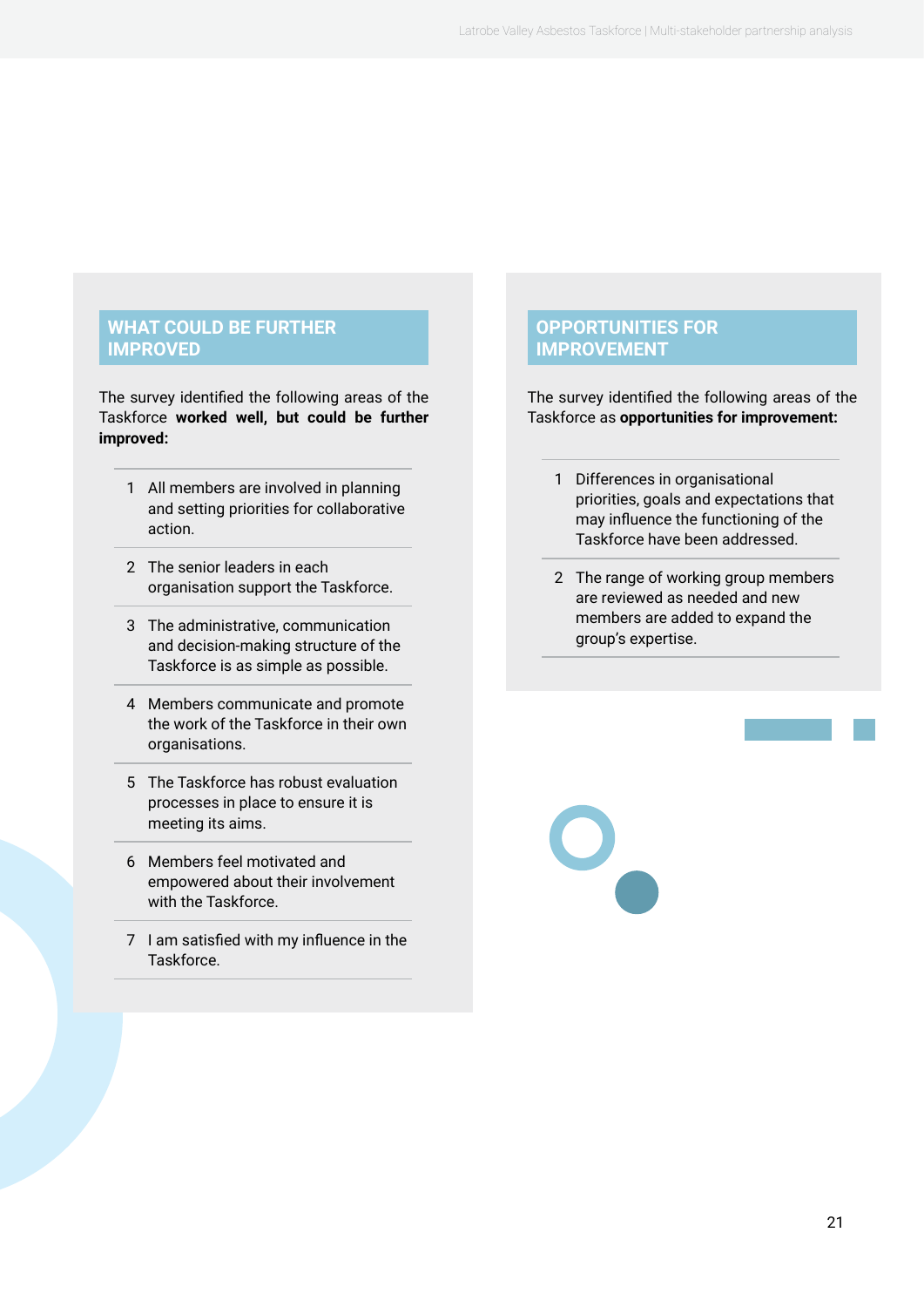#### **WHAT COULD BE FURTHER IMPROVED**

The survey identified the following areas of the Taskforce **worked well, but could be further improved:** 

- 1 All members are involved in planning and setting priorities for collaborative action.
- 2 The senior leaders in each organisation support the Taskforce.
- 3 The administrative, communication and decision-making structure of the Taskforce is as simple as possible.
- 4 Members communicate and promote the work of the Taskforce in their own organisations.
- 5 The Taskforce has robust evaluation processes in place to ensure it is meeting its aims.
- 6 Members feel motivated and empowered about their involvement with the Taskforce.
- 7 I am satisfied with my influence in the Taskforce.

#### **OPPORTUNITIES FOR IMPROVEMENT**

The survey identified the following areas of the Taskforce as **opportunities for improvement:** 

- 1 Differences in organisational priorities, goals and expectations that may influence the functioning of the Taskforce have been addressed.
- 2 The range of working group members are reviewed as needed and new members are added to expand the group's expertise.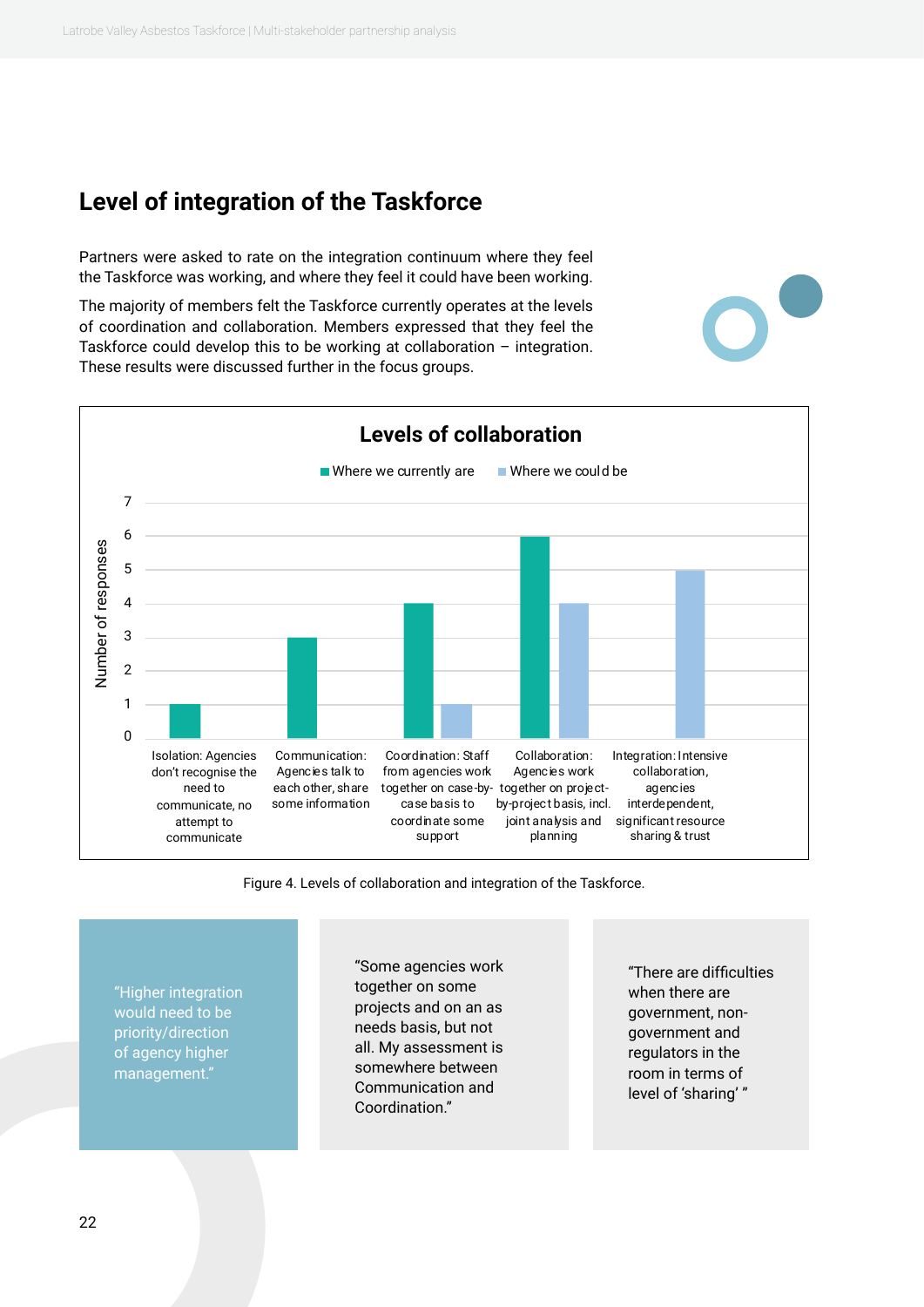#### <span id="page-21-0"></span>**Level of integration of the Taskforce**

Partners were asked to rate on the integration continuum where they feel the Taskforce was working, and where they feel it could have been working.

The majority of members felt the Taskforce currently operates at the levels of coordination and collaboration. Members expressed that they feel the Taskforce could develop this to be working at collaboration – integration. These results were discussed further in the focus groups.



Figure 4. Levels of collaboration and integration of the Taskforce.

"Higher integration would need to be priority/direction of agency higher management."

"Some agencies work together on some projects and on an as needs basis, but not all. My assessment is somewhere between Communication and Coordination."

"There are difficulties when there are government, nongovernment and regulators in the room in terms of level of 'sharing' "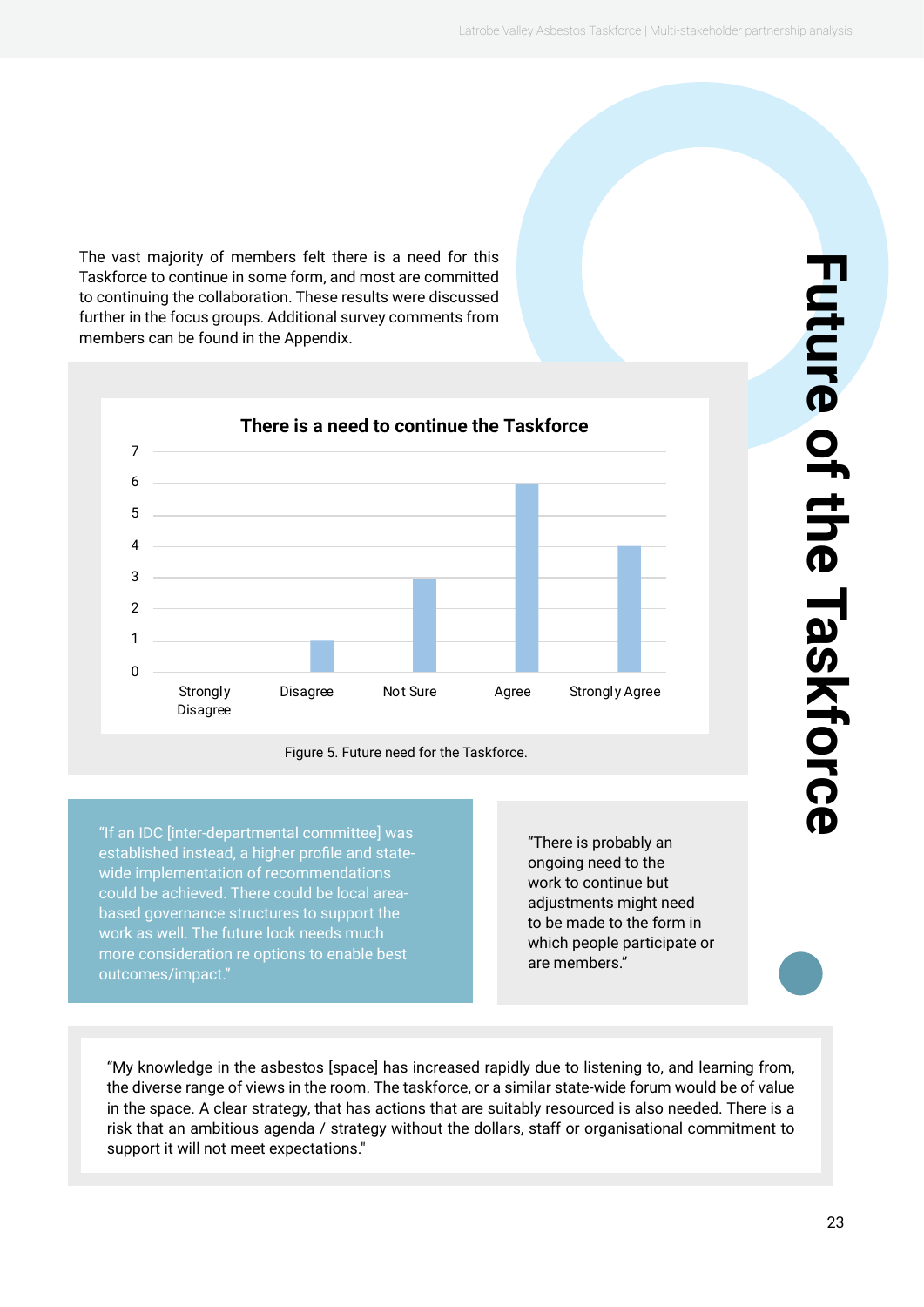<span id="page-22-0"></span>The vast majority of members felt there is a need for this Taskforce to continue in some form, and most are committed to continuing the collaboration. These results were discussed further in the focus groups. Additional survey comments from members can be found in the Appendix.





"If an IDC [inter-departmental committee] was established instead, a higher profile and statewide implementation of recommendations could be achieved. There could be local areabased governance structures to support the work as well. The future look needs much more consideration re options to enable best outcomes/impact."

"There is probably an ongoing need to the work to continue but adjustments might need to be made to the form in which people participate or are members."

"My knowledge in the asbestos [space] has increased rapidly due to listening to, and learning from, the diverse range of views in the room. The taskforce, or a similar state-wide forum would be of value in the space. A clear strategy, that has actions that are suitably resourced is also needed. There is a risk that an ambitious agenda / strategy without the dollars, staff or organisational commitment to support it will not meet expectations."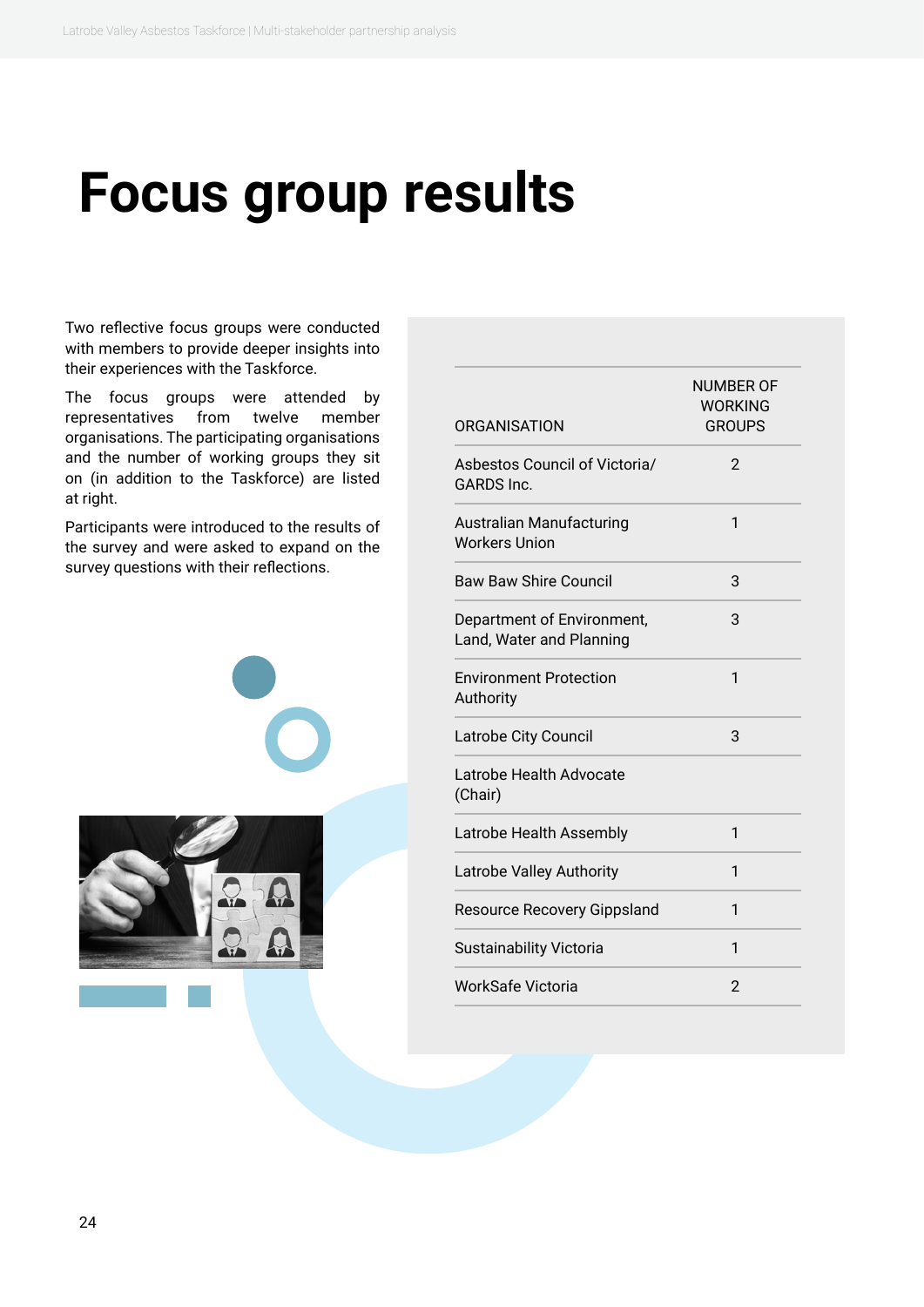### <span id="page-23-0"></span>**Focus group results**

Two reflective focus groups were conducted with members to provide deeper insights into their experiences with the Taskforce.

The focus groups were attended by representatives from twelve member organisations. The participating organisations and the number of working groups they sit on (in addition to the Taskforce) are listed at right.

Participants were introduced to the results of the survey and were asked to expand on the survey questions with their reflections.



| <b>ORGANISATION</b>                                     | <b>NUMBER OF</b><br>WORKING<br><b>GROUPS</b> |
|---------------------------------------------------------|----------------------------------------------|
| Asbestos Council of Victoria/<br><b>GARDS</b> Inc.      | 2                                            |
| <b>Australian Manufacturing</b><br><b>Workers Union</b> | 1                                            |
| <b>Baw Baw Shire Council</b>                            | 3                                            |
| Department of Environment,<br>Land, Water and Planning  | 3                                            |
| <b>Environment Protection</b><br>Authority              | 1                                            |
| Latrobe City Council                                    | 3                                            |
| Latrobe Health Advocate<br>(Chair)                      |                                              |
| Latrobe Health Assembly                                 | $\mathbf{1}$                                 |
| Latrobe Valley Authority                                | 1                                            |
| <b>Resource Recovery Gippsland</b>                      | 1                                            |
| Sustainability Victoria                                 | 1                                            |
| WorkSafe Victoria                                       | $\mathfrak{p}$                               |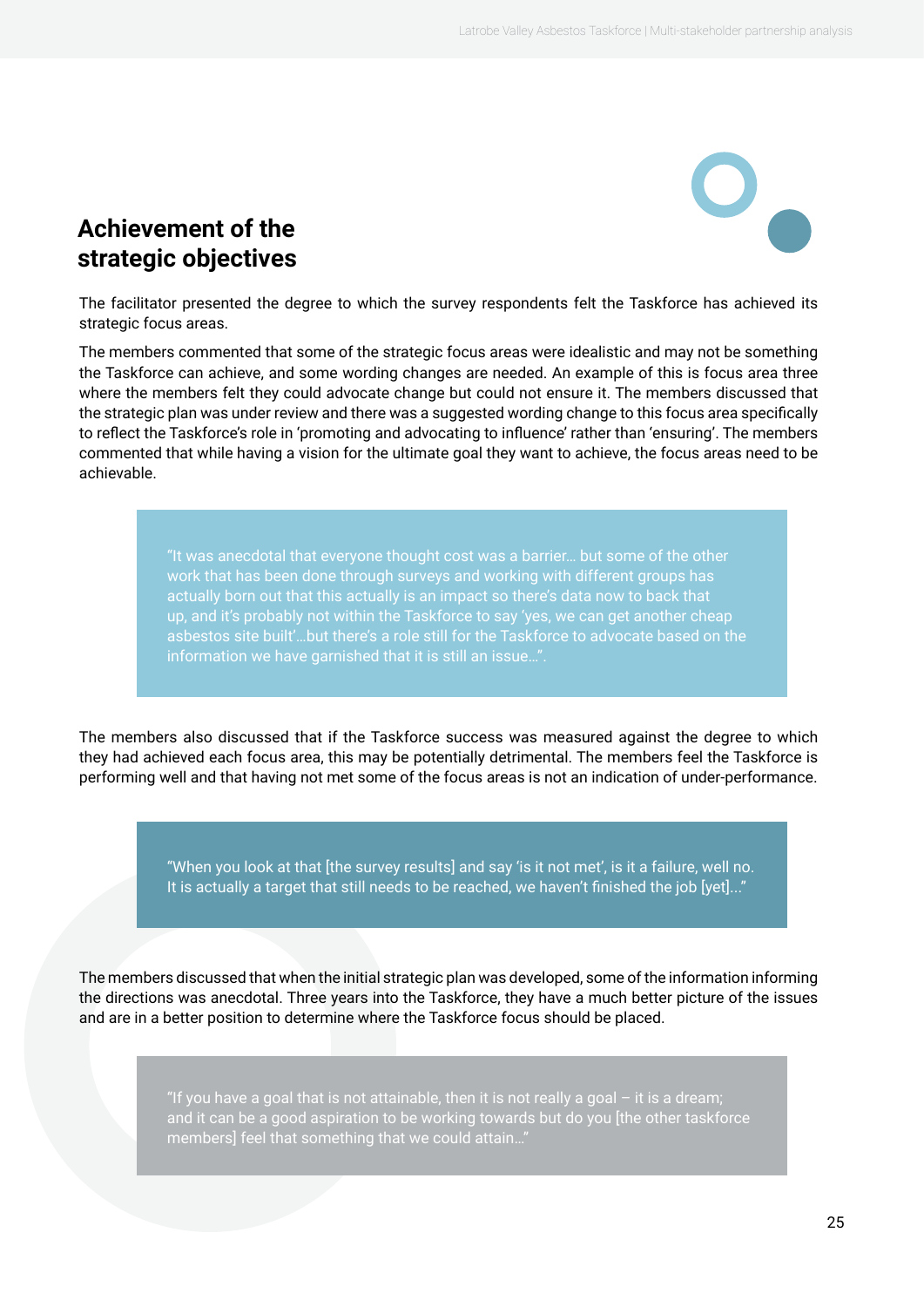### <span id="page-24-0"></span>**Achievement of the strategic objectives**

The facilitator presented the degree to which the survey respondents felt the Taskforce has achieved its strategic focus areas.

The members commented that some of the strategic focus areas were idealistic and may not be something the Taskforce can achieve, and some wording changes are needed. An example of this is focus area three where the members felt they could advocate change but could not ensure it. The members discussed that the strategic plan was under review and there was a suggested wording change to this focus area specifically to reflect the Taskforce's role in 'promoting and advocating to influence' rather than 'ensuring'. The members commented that while having a vision for the ultimate goal they want to achieve, the focus areas need to be achievable.

> "It was anecdotal that everyone thought cost was a barrier… but some of the other work that has been done through surveys and working with different groups has up, and it's probably not within the Taskforce to say 'yes, we can get another cheap asbestos site built'…but there's a role still for the Taskforce to advocate based on the information we have garnished that it is still an issue…".

The members also discussed that if the Taskforce success was measured against the degree to which they had achieved each focus area, this may be potentially detrimental. The members feel the Taskforce is performing well and that having not met some of the focus areas is not an indication of under-performance.

> "When you look at that [the survey results] and say 'is it not met', is it a failure, well no. It is actually a target that still needs to be reached, we haven't finished the job [yet]..."

The members discussed that when the initial strategic plan was developed, some of the information informing the directions was anecdotal. Three years into the Taskforce, they have a much better picture of the issues and are in a better position to determine where the Taskforce focus should be placed.

> "If you have a goal that is not attainable, then it is not really a goal  $-$  it is a dream; and it can be a good aspiration to be working towards but do you [the other taskforce members] feel that something that we could attain…"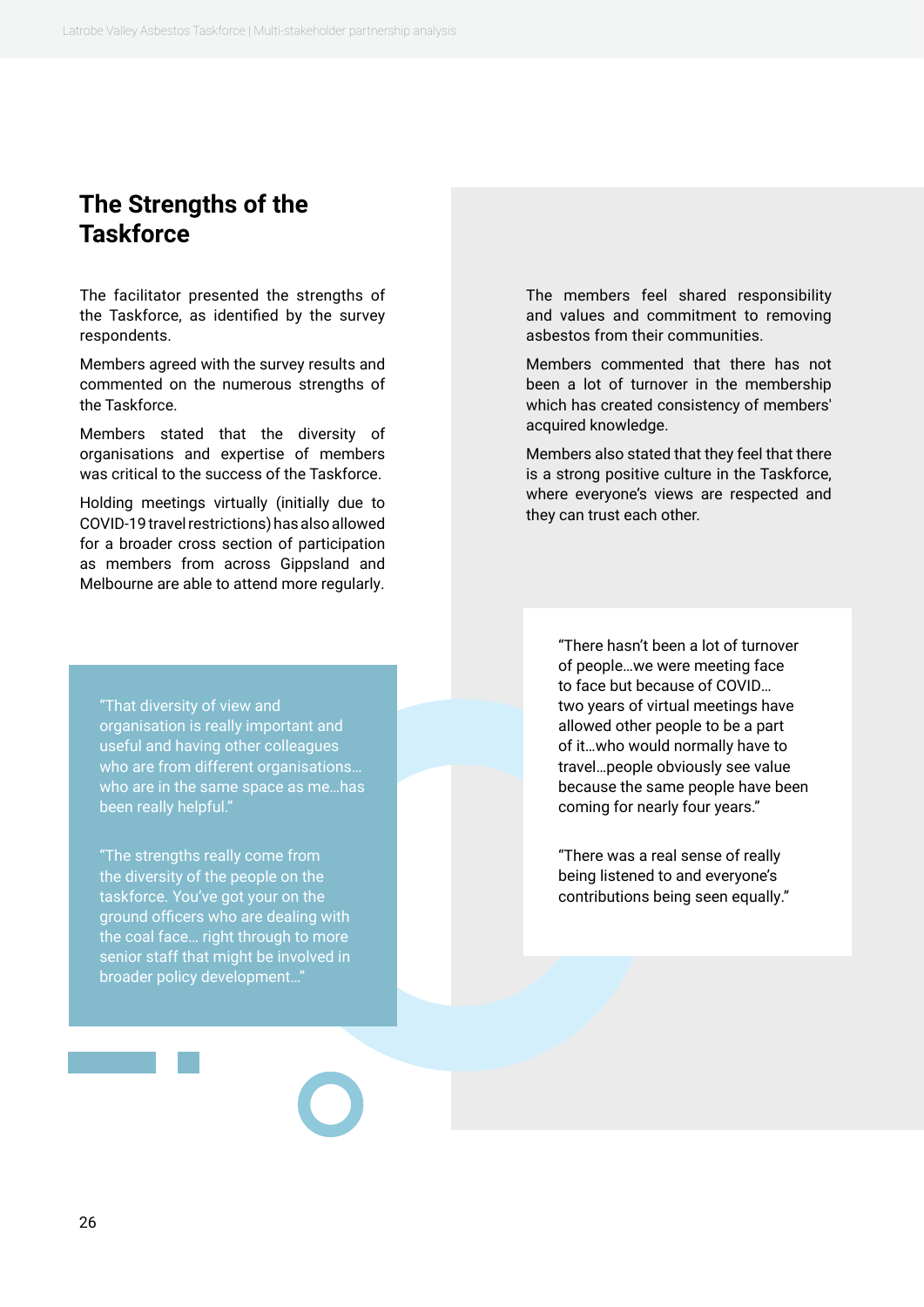#### <span id="page-25-0"></span>**The Strengths of the Taskforce**

The facilitator presented the strengths of the Taskforce, as identified by the survey respondents.

Members agreed with the survey results and commented on the numerous strengths of the Taskforce.

Members stated that the diversity of organisations and expertise of members was critical to the success of the Taskforce.

Holding meetings virtually (initially due to COVID-19 travel restrictions) has also allowed for a broader cross section of participation as members from across Gippsland and Melbourne are able to attend more regularly.

"That diversity of view and organisation is really important and useful and having other colleagues who are from different organisations… who are in the same space as me…has been really helpful."

"The strengths really come from the diversity of the people on the taskforce. You've got your on the ground officers who are dealing with the coal face… right through to more senior staff that might be involved in broader policy development…"

The members feel shared responsibility and values and commitment to removing asbestos from their communities.

Members commented that there has not been a lot of turnover in the membership which has created consistency of members' acquired knowledge.

Members also stated that they feel that there is a strong positive culture in the Taskforce, where everyone's views are respected and they can trust each other.

> "There hasn't been a lot of turnover of people…we were meeting face to face but because of COVID… two years of virtual meetings have allowed other people to be a part of it…who would normally have to travel…people obviously see value because the same people have been coming for nearly four years."

"There was a real sense of really being listened to and everyone's contributions being seen equally."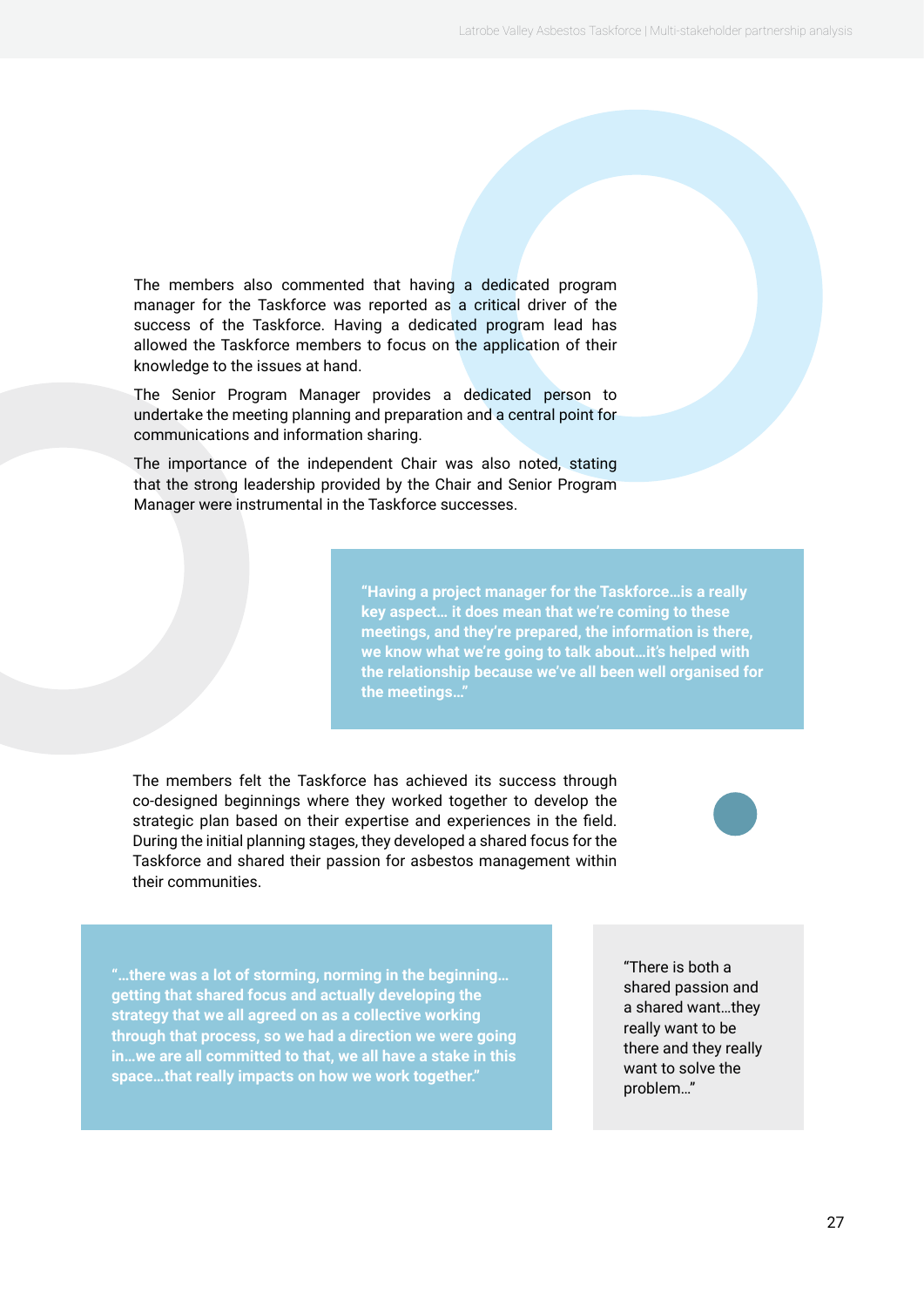The members also commented that having a dedicated program manager for the Taskforce was reported as a critical driver of the success of the Taskforce. Having a dedicated program lead has allowed the Taskforce members to focus on the application of their knowledge to the issues at hand.

The Senior Program Manager provides a dedicated person to undertake the meeting planning and preparation and a central point for communications and information sharing.

The importance of the independent Chair was also noted, stating that the strong leadership provided by the Chair and Senior Program Manager were instrumental in the Taskforce successes.

> **"Having a project manager for the Taskforce…is a really key aspect… it does mean that we're coming to these meetings, and they're prepared, the information is there, we know what we're going to talk about…it's helped with the relationship because we've all been well organised for the meetings…"**

The members felt the Taskforce has achieved its success through co-designed beginnings where they worked together to develop the strategic plan based on their expertise and experiences in the field. During the initial planning stages, they developed a shared focus for the Taskforce and shared their passion for asbestos management within their communities.



**"…there was a lot of storming, norming in the beginning… getting that shared focus and actually developing the strategy that we all agreed on as a collective working through that process, so we had a direction we were going in…we are all committed to that, we all have a stake in this space…that really impacts on how we work together."**

"There is both a shared passion and a shared want…they really want to be there and they really want to solve the problem…"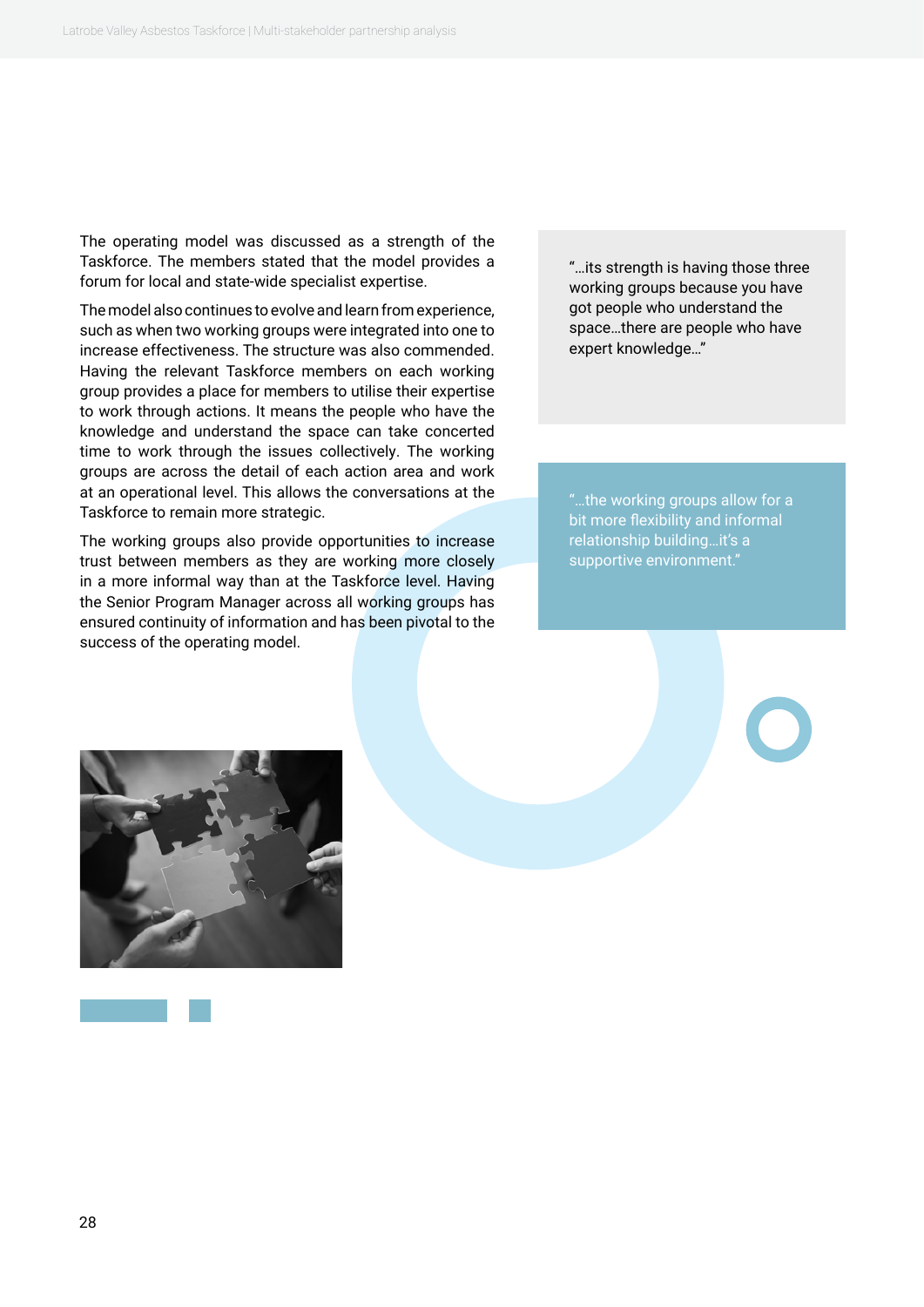The operating model was discussed as a strength of the Taskforce. The members stated that the model provides a forum for local and state-wide specialist expertise.

The model also continues to evolve and learn from experience, such as when two working groups were integrated into one to increase effectiveness. The structure was also commended. Having the relevant Taskforce members on each working group provides a place for members to utilise their expertise to work through actions. It means the people who have the knowledge and understand the space can take concerted time to work through the issues collectively. The working groups are across the detail of each action area and work at an operational level. This allows the conversations at the Taskforce to remain more strategic.

The working groups also provide opportunities to increase trust between members as they are working more closely in a more informal way than at the Taskforce level. Having the Senior Program Manager across all working groups has ensured continuity of information and has been pivotal to the success of the operating model.

"…its strength is having those three working groups because you have got people who understand the space…there are people who have expert knowledge…"

"…the working groups allow for a bit more flexibility and informal relationship building…it's a supportive environment."

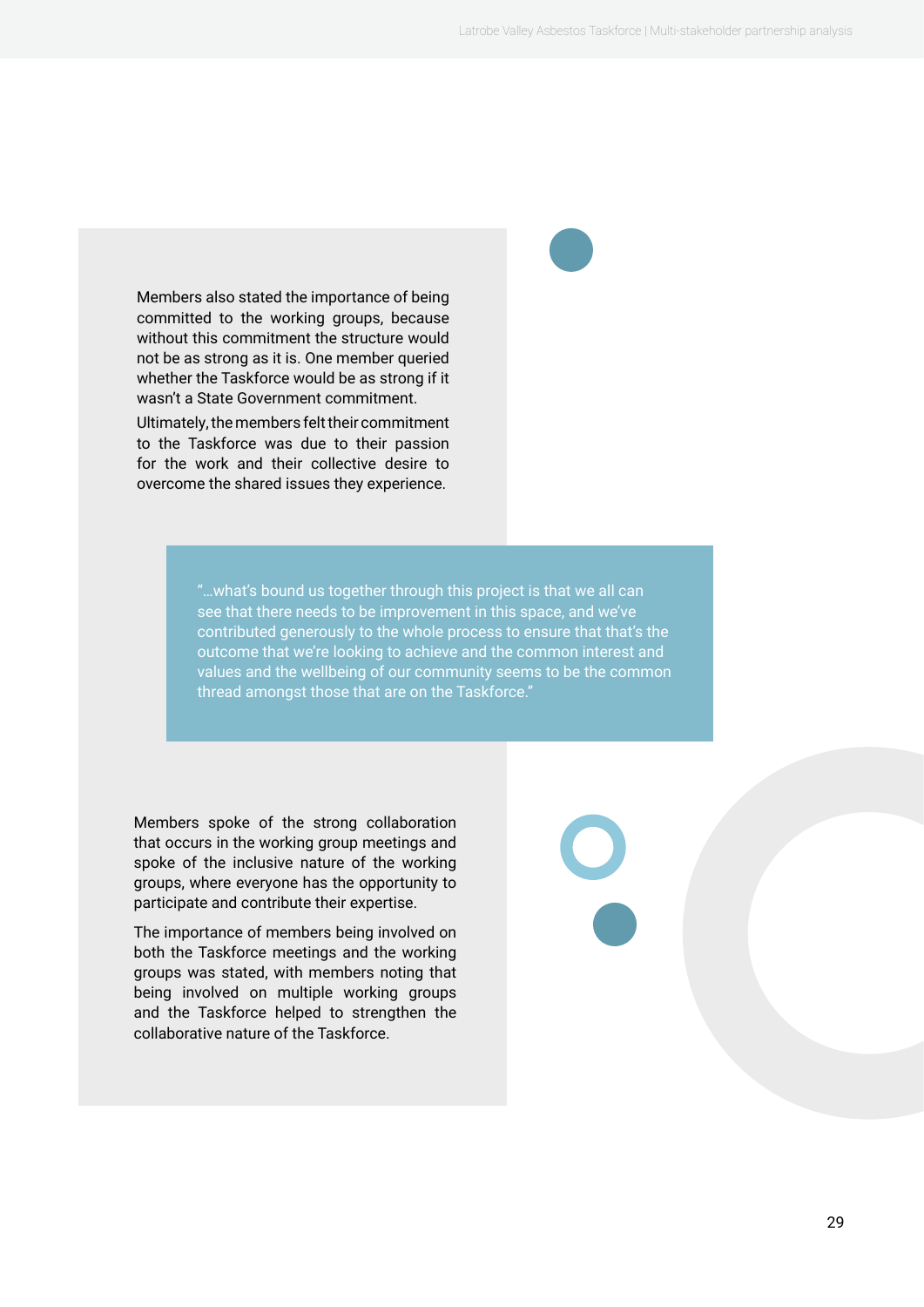Members also stated the importance of being committed to the working groups, because without this commitment the structure would not be as strong as it is. One member queried whether the Taskforce would be as strong if it wasn't a State Government commitment.

Ultimately, the members felt their commitment to the Taskforce was due to their passion for the work and their collective desire to overcome the shared issues they experience.

> "…what's bound us together through this project is that we all can see that there needs to be improvement in this space, and we've contributed generously to the whole process to ensure that that's the outcome that we're looking to achieve and the common interest and values and the wellbeing of our community seems to be the common thread amongst those that are on the Taskforce."

Members spoke of the strong collaboration that occurs in the working group meetings and spoke of the inclusive nature of the working groups, where everyone has the opportunity to participate and contribute their expertise.

The importance of members being involved on both the Taskforce meetings and the working groups was stated, with members noting that being involved on multiple working groups and the Taskforce helped to strengthen the collaborative nature of the Taskforce.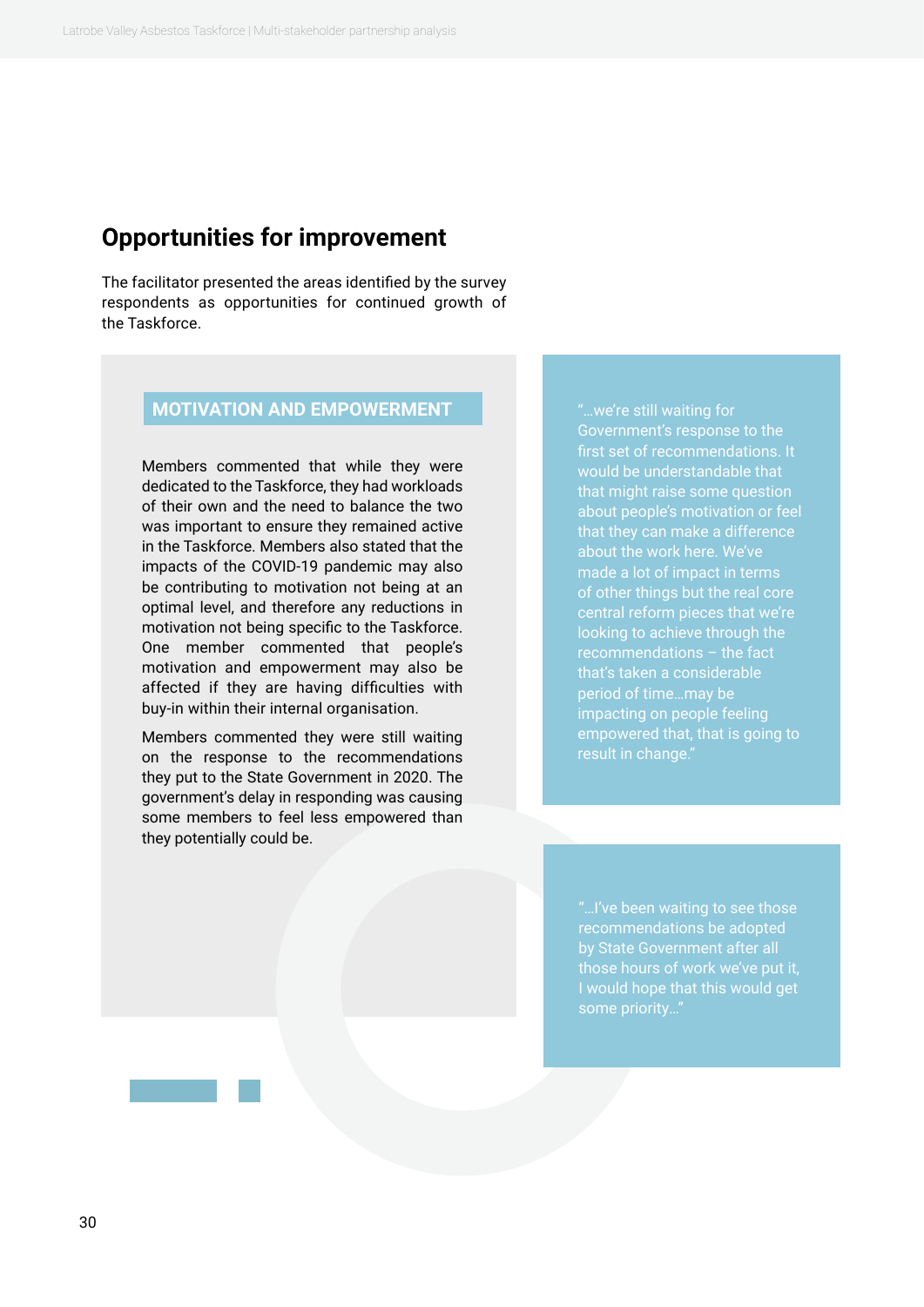#### <span id="page-29-0"></span>**Opportunities for improvement**

The facilitator presented the areas identified by the survey respondents as opportunities for continued growth of the Taskforce.

#### **MOTIVATION AND EMPOWERMENT**

Members commented that while they were dedicated to the Taskforce, they had workloads of their own and the need to balance the two was important to ensure they remained active in the Taskforce. Members also stated that the impacts of the COVID-19 pandemic may also be contributing to motivation not being at an optimal level, and therefore any reductions in motivation not being specific to the Taskforce. One member commented that people's motivation and empowerment may also be affected if they are having difficulties with buy-in within their internal organisation.

Members commented they were still waiting on the response to the recommendations they put to the State Government in 2020. The government's delay in responding was causing some members to feel less empowered than they potentially could be.

Government's response to the first set of recommendations. It would be understandable that that might raise some question about people's motivation or feel about the work here. We've made a lot of impact in terms of other things but the real core looking to achieve through the that's taken a considerable period of time…may be impacting on people feeling empowered that, that is going to result in change."

recommendations be adopted I would hope that this would get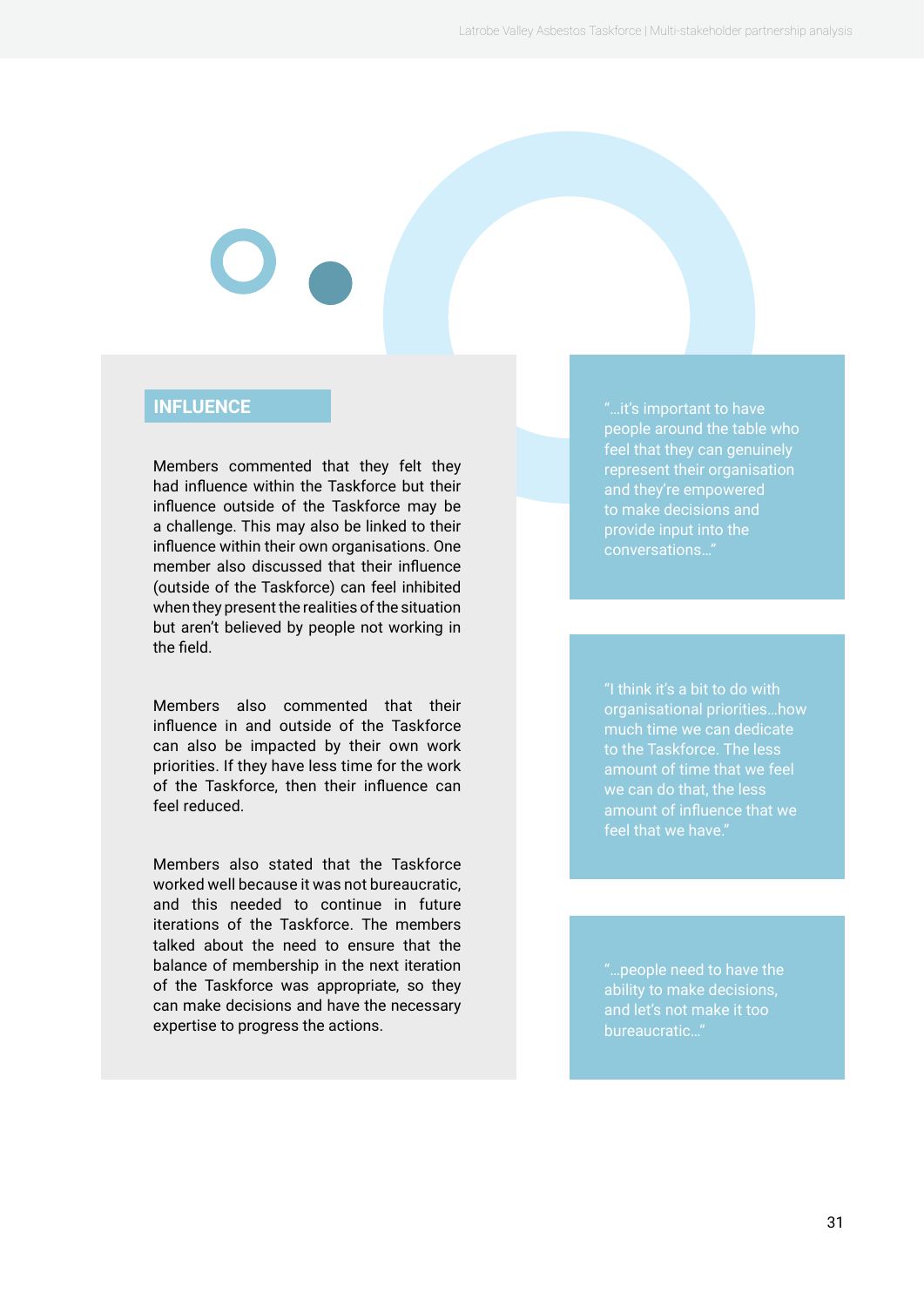#### **INFLUENCE**

Members commented that they felt they had influence within the Taskforce but their influence outside of the Taskforce may be a challenge. This may also be linked to their influence within their own organisations. One member also discussed that their influence (outside of the Taskforce) can feel inhibited when they present the realities of the situation but aren't believed by people not working in the field.

Members also commented that their influence in and outside of the Taskforce can also be impacted by their own work priorities. If they have less time for the work of the Taskforce, then their influence can feel reduced.

Members also stated that the Taskforce worked well because it was not bureaucratic, and this needed to continue in future iterations of the Taskforce. The members talked about the need to ensure that the balance of membership in the next iteration of the Taskforce was appropriate, so they can make decisions and have the necessary expertise to progress the actions.

"…it's important to have people around the table who feel that they can genuinely represent their organisation to make decisions and

"I think it's a bit to do with organisational priorities…how feel that we have."

"…people need to have the ability to make decisions, bureaucratic…"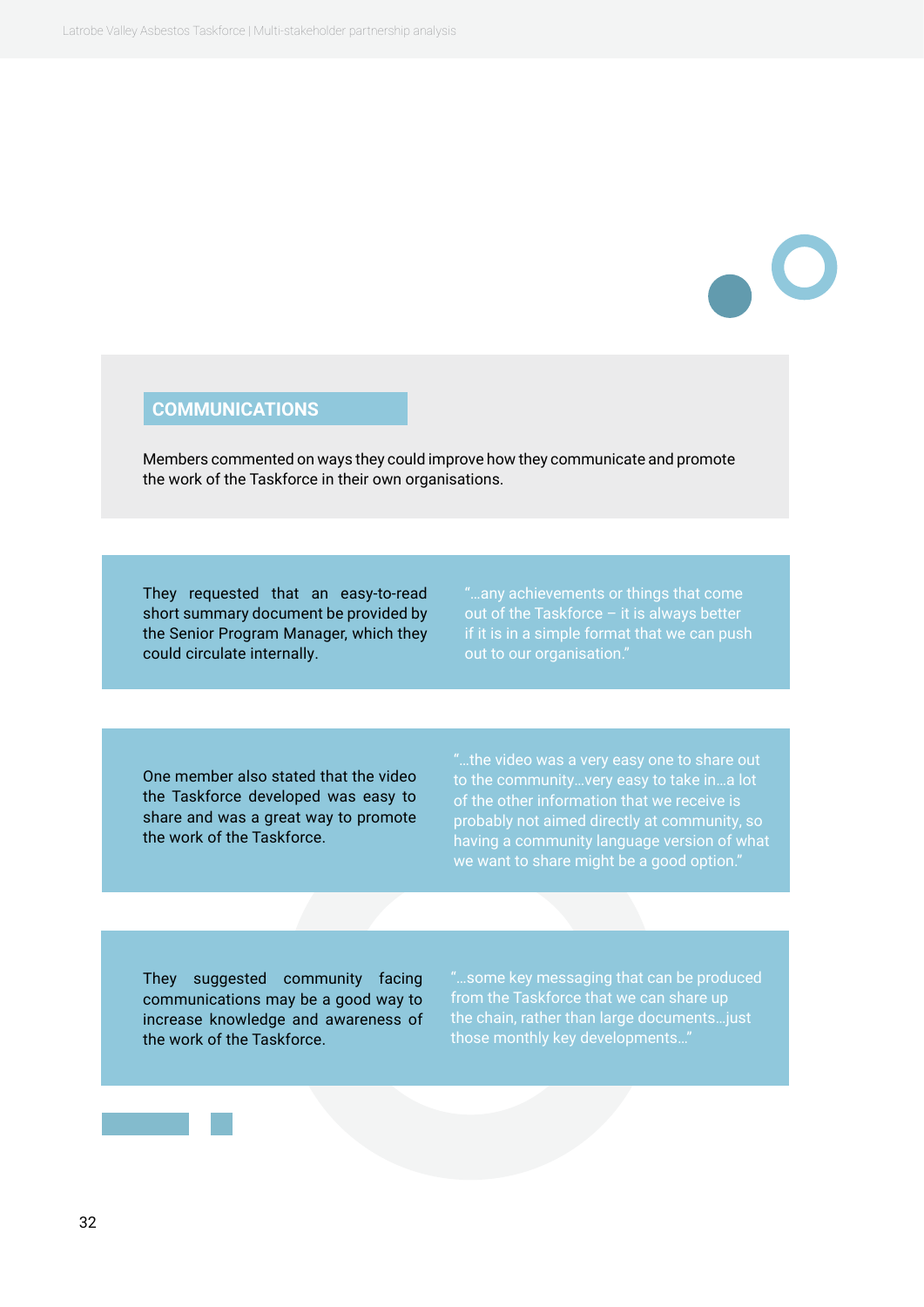#### **COMMUNICATIONS**

Members commented on ways they could improve how they communicate and promote the work of the Taskforce in their own organisations.

They requested that an easy-to-read short summary document be provided by the Senior Program Manager, which they could circulate internally.

"…any achievements or things that come out of the Taskforce – it is always better out to our organisation."

One member also stated that the video the Taskforce developed was easy to share and was a great way to promote the work of the Taskforce.

having a community language version of what we want to share might be a good option."

They suggested community facing communications may be a good way to increase knowledge and awareness of the work of the Taskforce.

"…some key messaging that can be produced from the Taskforce that we can share up the chain, rather than large documents…just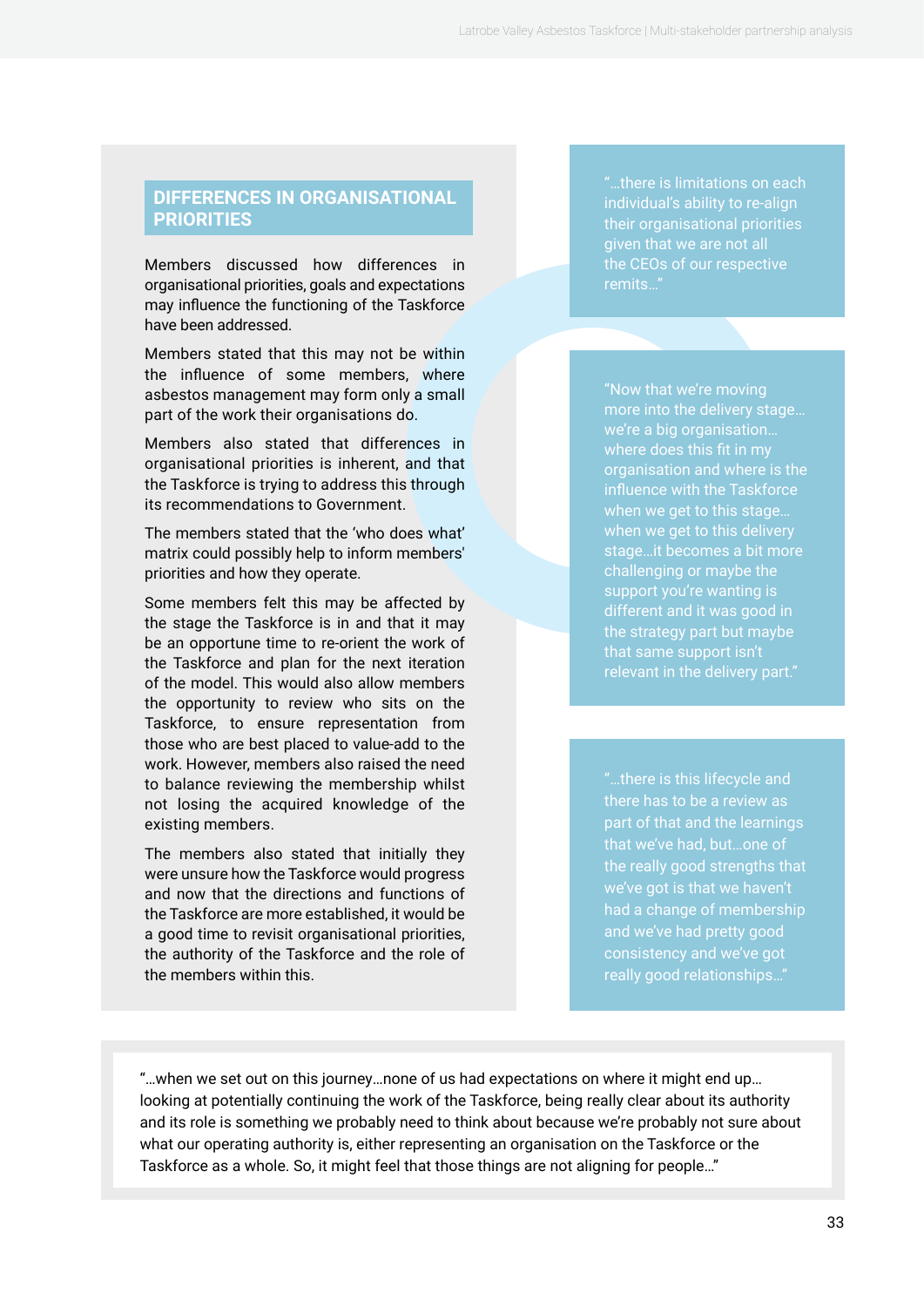#### **DIFFERENCES IN ORGANISATIONAL PRIORITIES**

Members discussed how differences in organisational priorities, goals and expectations may influence the functioning of the Taskforce have been addressed.

Members stated that this may not be within the influence of some members, where asbestos management may form only a small part of the work their organisations do.

Members also stated that differences in organisational priorities is inherent, and that the Taskforce is trying to address this through its recommendations to Government.

The members stated that the 'who does what' matrix could possibly help to inform members' priorities and how they operate.

Some members felt this may be affected by the stage the Taskforce is in and that it may be an opportune time to re-orient the work of the Taskforce and plan for the next iteration of the model. This would also allow members the opportunity to review who sits on the Taskforce, to ensure representation from those who are best placed to value-add to the work. However, members also raised the need to balance reviewing the membership whilst not losing the acquired knowledge of the existing members.

The members also stated that initially they were unsure how the Taskforce would progress and now that the directions and functions of the Taskforce are more established, it would be a good time to revisit organisational priorities, the authority of the Taskforce and the role of the members within this.

"…there is limitations on each individual's ability to re-align their organisational priorities given that we are not all the CEOs of our respective remits…"

"Now that we're moving more into the delivery stage… we're a big organisation… organisation and where is the influence with the Taskforce when we get to this stage… when we get to this delivery stage…it becomes a bit more challenging or maybe the support you're wanting is different and it was good in the strategy part but maybe that same support isn't

"…there is this lifecycle and part of that and the learnings that we've had, but…one of the really good strengths that had a change of membership and we've had pretty good consistency and we've got really good relationships…"

"…when we set out on this journey…none of us had expectations on where it might end up… looking at potentially continuing the work of the Taskforce, being really clear about its authority and its role is something we probably need to think about because we're probably not sure about what our operating authority is, either representing an organisation on the Taskforce or the Taskforce as a whole. So, it might feel that those things are not aligning for people…"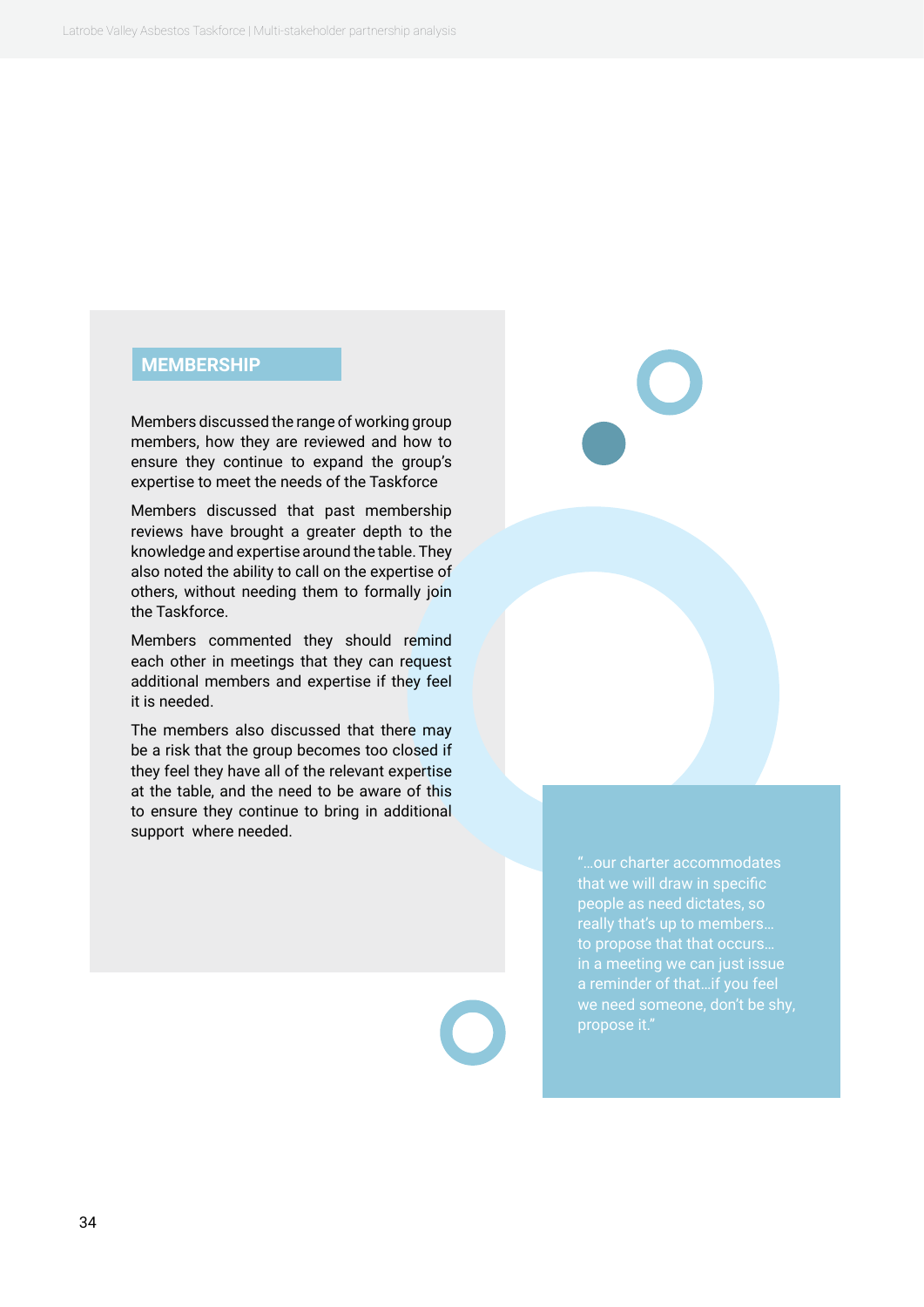#### **MEMBERSHIP**

Members discussed the range of working group members, how they are reviewed and how to ensure they continue to expand the group's expertise to meet the needs of the Taskforce

Members discussed that past membership reviews have brought a greater depth to the knowledge and expertise around the table. They also noted the ability to call on the expertise of others, without needing them to formally join the Taskforce.

Members commented they should remind each other in meetings that they can request additional members and expertise if they feel it is needed.

The members also discussed that there may be a risk that the group becomes too closed if they feel they have all of the relevant expertise at the table, and the need to be aware of this to ensure they continue to bring in additional support where needed.

to propose that that occurs…

"…our charter accommodates that we will draw in specific people as need dictates, so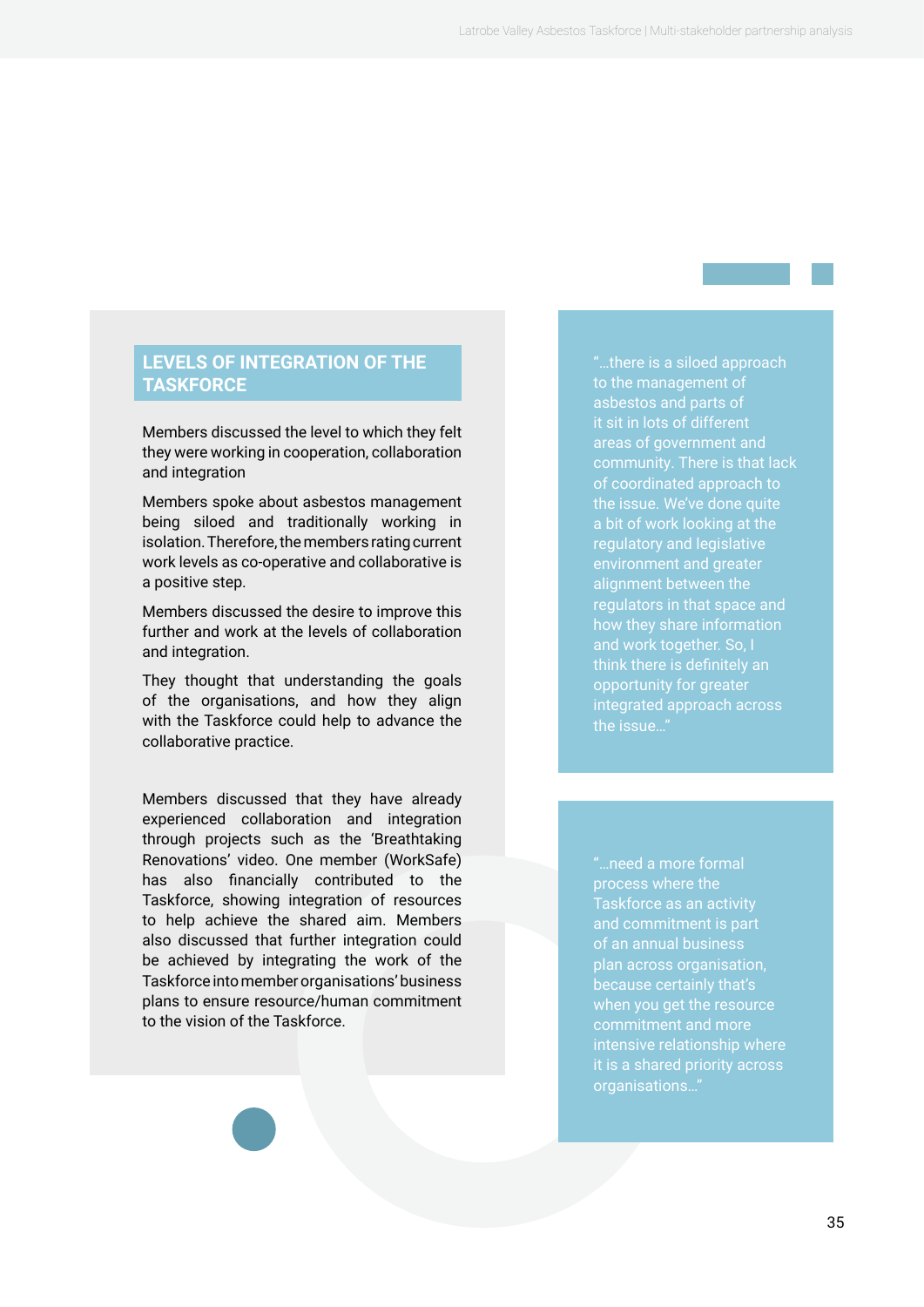#### **LEVELS OF INTEGRATION OF THE TASKFORCE**

Members discussed the level to which they felt they were working in cooperation, collaboration and integration

Members spoke about asbestos management being siloed and traditionally working in isolation. Therefore, the members rating current work levels as co-operative and collaborative is a positive step.

Members discussed the desire to improve this further and work at the levels of collaboration and integration.

They thought that understanding the goals of the organisations, and how they align with the Taskforce could help to advance the collaborative practice.

Members discussed that they have already experienced collaboration and integration through projects such as the 'Breathtaking Renovations' video. One member (WorkSafe) has also financially contributed to the Taskforce, showing integration of resources to help achieve the shared aim. Members also discussed that further integration could be achieved by integrating the work of the Taskforce into member organisations' business plans to ensure resource/human commitment to the vision of the Taskforce.

"…there is a siloed approach to the management of asbestos and parts of it sit in lots of different areas of government and of coordinated approach to the issue. We've done quite a bit of work looking at the regulatory and legislative environment and greater alignment between the regulators in that space and and work together. So, I opportunity for greater integrated approach across the issue…"

"…need a more formal process where the of an annual business plan across organisation, because certainly that's when you get the resource intensive relationship where organisations..."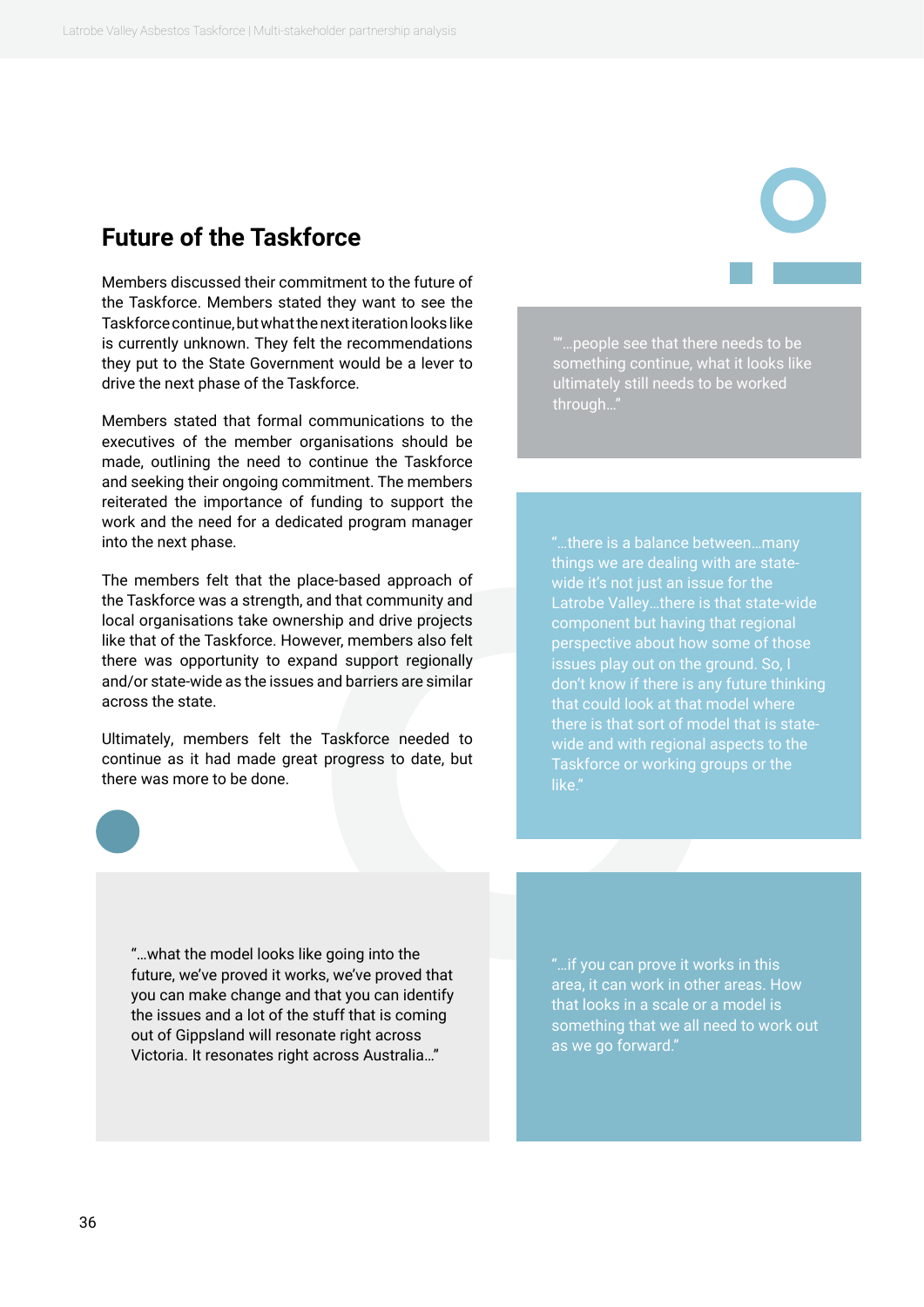### <span id="page-35-0"></span>**Future of the Taskforce**

Members discussed their commitment to the future of the Taskforce. Members stated they want to see the Taskforce continue, but what the next iteration looks like is currently unknown. They felt the recommendations they put to the State Government would be a lever to drive the next phase of the Taskforce.

Members stated that formal communications to the executives of the member organisations should be made, outlining the need to continue the Taskforce and seeking their ongoing commitment. The members reiterated the importance of funding to support the work and the need for a dedicated program manager into the next phase.

The members felt that the place-based approach of the Taskforce was a strength, and that community and local organisations take ownership and drive projects like that of the Taskforce. However, members also felt there was opportunity to expand support regionally and/or state-wide as the issues and barriers are similar across the state.

Ultimately, members felt the Taskforce needed to continue as it had made great progress to date, but there was more to be done.

""…people see that there needs to be something continue, what it looks like ultimately still needs to be worked through…"

"…there is a balance between…many Latrobe Valley…there is that state-wide component but having that regional don't know if there is any future thinking that could look at that model where there is that sort of model that is statewide and with regional aspects to the Taskforce or working groups or the like."

"…what the model looks like going into the future, we've proved it works, we've proved that you can make change and that you can identify the issues and a lot of the stuff that is coming out of Gippsland will resonate right across Victoria. It resonates right across Australia…"

"…if you can prove it works in this area, it can work in other areas. How that looks in a scale or a model is something that we all need to work out as we go forward."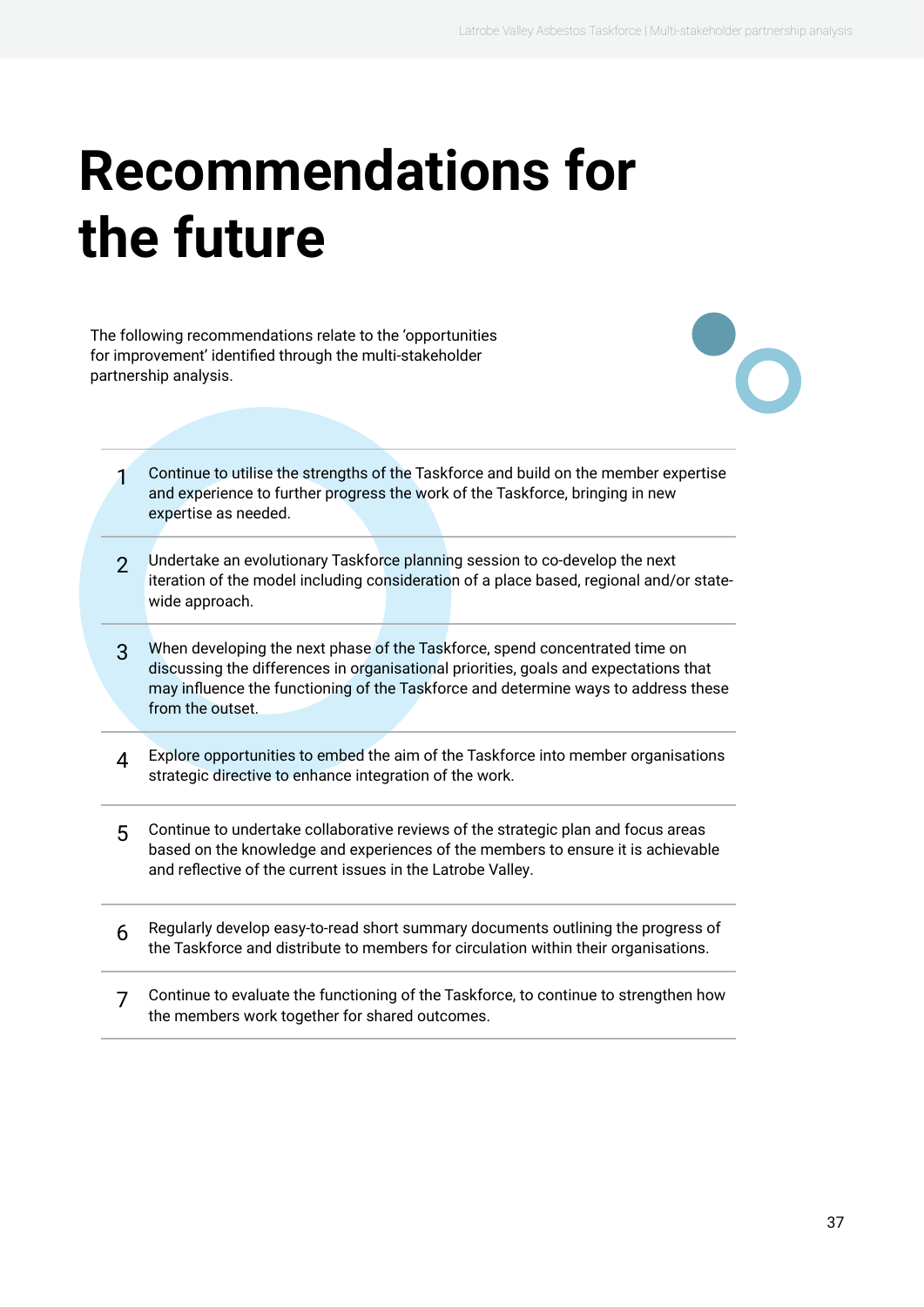# <span id="page-36-0"></span>**Recommendations for the future**

The following recommendations relate to the 'opportunities for improvement' identified through the multi-stakeholder partnership analysis.

- 1 Continue to utilise the strengths of the Taskforce and build on the member expertise and experience to further progress the work of the Taskforce, bringing in new expertise as needed.
- 2 Undertake an evolutionary Taskforce planning session to co-develop the next iteration of the model including consideration of a place based, regional and/or statewide approach.
- 3 When developing the next phase of the Taskforce, spend concentrated time on discussing the differences in organisational priorities, goals and expectations that may influence the functioning of the Taskforce and determine ways to address these from the outset.
- 4 Explore opportunities to embed the aim of the Taskforce into member organisations strategic directive to enhance integration of the work.
- 5 Continue to undertake collaborative reviews of the strategic plan and focus areas based on the knowledge and experiences of the members to ensure it is achievable and reflective of the current issues in the Latrobe Valley.
- 6 Regularly develop easy-to-read short summary documents outlining the progress of the Taskforce and distribute to members for circulation within their organisations.
- 7 Continue to evaluate the functioning of the Taskforce, to continue to strengthen how the members work together for shared outcomes.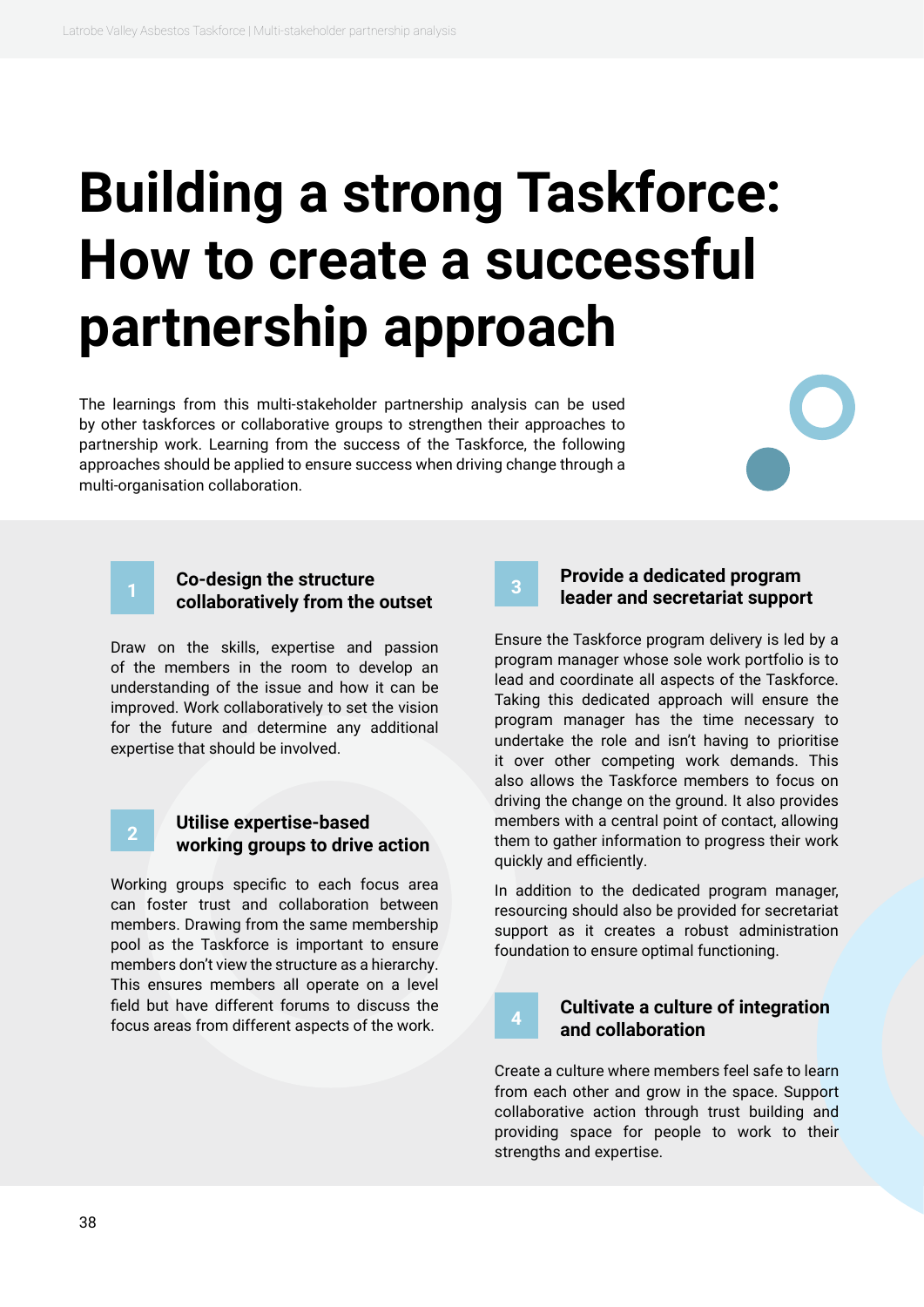# <span id="page-37-0"></span>**Building a strong Taskforce: How to create a successful partnership approach**

The learnings from this multi-stakeholder partnership analysis can be used by other taskforces or collaborative groups to strengthen their approaches to partnership work. Learning from the success of the Taskforce, the following approaches should be applied to ensure success when driving change through a multi-organisation collaboration.

#### **<sup>1</sup> Co-design the structure collaboratively from the outset**

Draw on the skills, expertise and passion of the members in the room to develop an understanding of the issue and how it can be improved. Work collaboratively to set the vision for the future and determine any additional expertise that should be involved.

#### **<sup>2</sup> Utilise expertise-based working groups to drive action**

Working groups specific to each focus area can foster trust and collaboration between members. Drawing from the same membership pool as the Taskforce is important to ensure members don't view the structure as a hierarchy. This ensures members all operate on a level field but have different forums to discuss the focus areas from different aspects of the work.

#### **<sup>3</sup> Provide a dedicated program leader and secretariat support**

Ensure the Taskforce program delivery is led by a program manager whose sole work portfolio is to lead and coordinate all aspects of the Taskforce. Taking this dedicated approach will ensure the program manager has the time necessary to undertake the role and isn't having to prioritise it over other competing work demands. This also allows the Taskforce members to focus on driving the change on the ground. It also provides members with a central point of contact, allowing them to gather information to progress their work quickly and efficiently.

In addition to the dedicated program manager, resourcing should also be provided for secretariat support as it creates a robust administration foundation to ensure optimal functioning.

#### **<sup>4</sup> Cultivate a culture of integration and collaboration**

Create a culture where members feel safe to learn from each other and grow in the space. Support collaborative action through trust building and providing space for people to work to their strengths and expertise.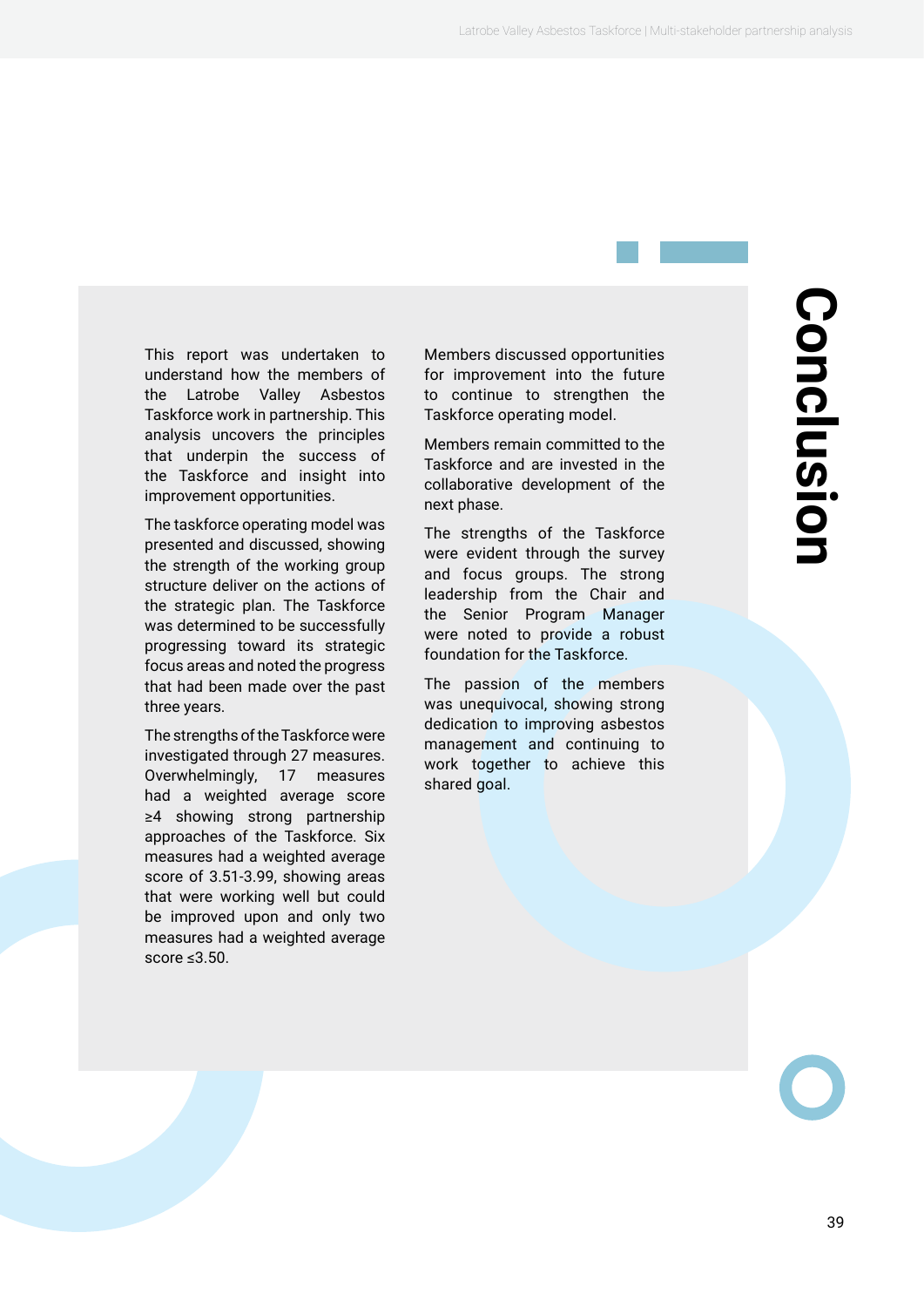<span id="page-38-0"></span>This report was undertaken to understand how the members of the Latrobe Valley Asbestos Taskforce work in partnership. This analysis uncovers the principles that underpin the success of the Taskforce and insight into improvement opportunities.

The taskforce operating model was presented and discussed, showing the strength of the working group structure deliver on the actions of the strategic plan. The Taskforce was determined to be successfully progressing toward its strategic focus areas and noted the progress that had been made over the past three years.

The strengths of the Taskforce were investigated through 27 measures. Overwhelmingly, 17 measures had a weighted average score ≥4 showing strong partnership approaches of the Taskforce. Six measures had a weighted average score of 3.51-3.99, showing areas that were working well but could be improved upon and only two measures had a weighted average score ≤3.50.

Members discussed opportunities for improvement into the future to continue to strengthen the Taskforce operating model.

Members remain committed to the Taskforce and are invested in the collaborative development of the next phase.

The strengths of the Taskforce were evident through the survey and focus groups. The strong leadership from the Chair and the Senior Program Manager were noted to provide a robust foundation for the Taskforce.

The passion of the members was unequivocal, showing strong dedication to improving asbestos management and continuing to work together to achieve this shared goal.

# **Conclusion** Conclusior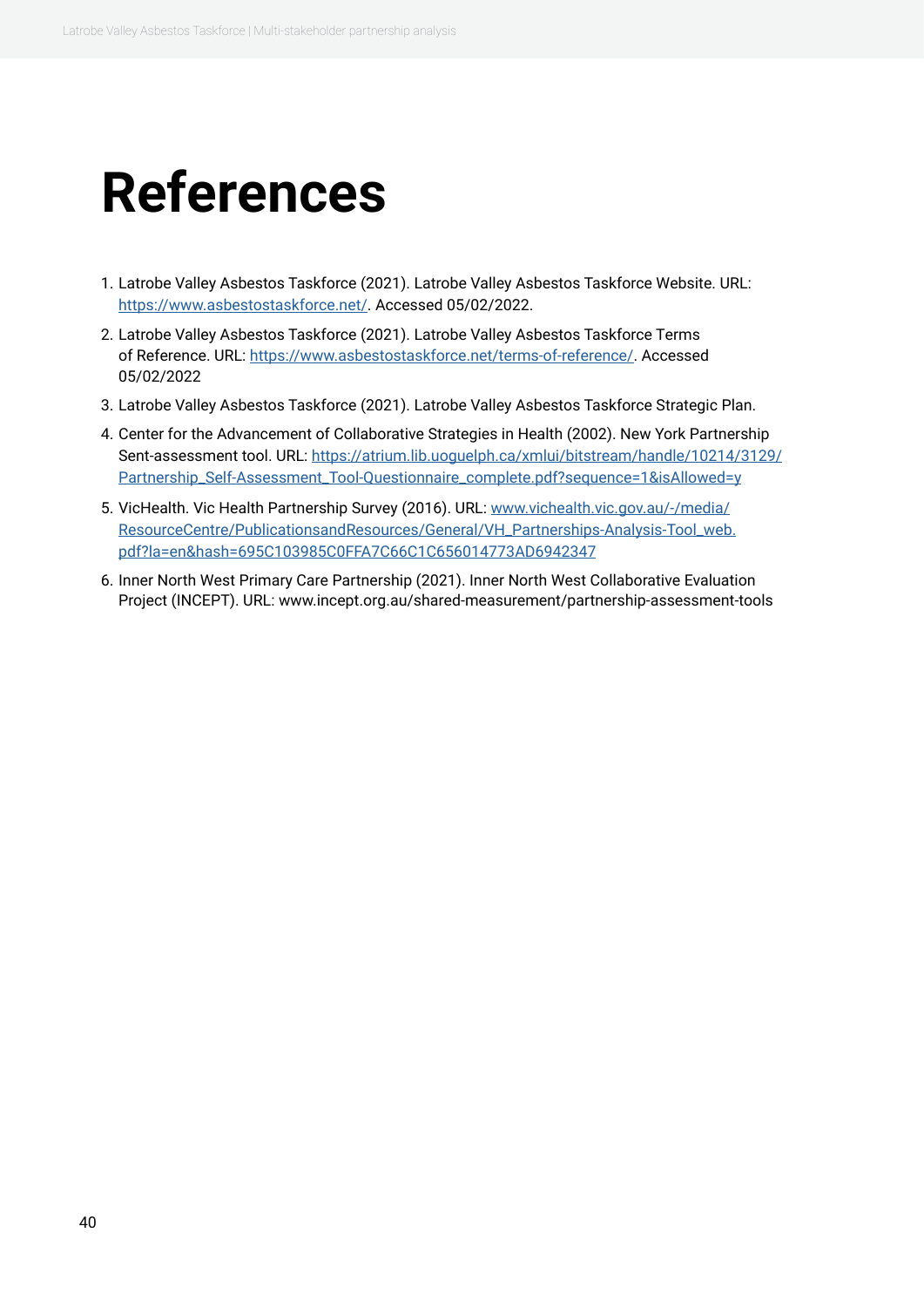## <span id="page-39-0"></span>**References**

- 1. Latrobe Valley Asbestos Taskforce (2021). Latrobe Valley Asbestos Taskforce Website. URL: [https://www.asbestostaskforce.net/.](https://www.asbestostaskforce.net/) Accessed 05/02/2022.
- 2. Latrobe Valley Asbestos Taskforce (2021). Latrobe Valley Asbestos Taskforce Terms of Reference. URL:<https://www.asbestostaskforce.net/terms-of-reference/>. Accessed 05/02/2022
- 3. Latrobe Valley Asbestos Taskforce (2021). Latrobe Valley Asbestos Taskforce Strategic Plan.
- 4. Center for the Advancement of Collaborative Strategies in Health (2002). New York Partnership Sent-assessment tool. URL: [https://atrium.lib.uoguelph.ca/xmlui/bitstream/handle/10214/3129/](https://atrium.lib.uoguelph.ca/xmlui/bitstream/handle/10214/3129/Partnership_Self-Assessment_Tool-Questionnaire_complete.pdf?sequence=1&isAllowed=y) [Partnership\\_Self-Assessment\\_Tool-Questionnaire\\_complete.pdf?sequence=1&isAllowed=y](https://atrium.lib.uoguelph.ca/xmlui/bitstream/handle/10214/3129/Partnership_Self-Assessment_Tool-Questionnaire_complete.pdf?sequence=1&isAllowed=y)
- 5. VicHealth. Vic Health Partnership Survey (2016). URL: [www.vichealth.vic.gov.au/-/media/](http://www.vichealth.vic.gov.au/-/media/ResourceCentre/PublicationsandResources/General/VH_Partnerships-Ana) [ResourceCentre/PublicationsandResources/General/VH\\_Partnerships-Analysis-Tool\\_web.](http://www.vichealth.vic.gov.au/-/media/ResourceCentre/PublicationsandResources/General/VH_Partnerships-Ana) [pdf?la=en&hash=695C103985C0FFA7C66C1C656014773AD6942347](http://www.vichealth.vic.gov.au/-/media/ResourceCentre/PublicationsandResources/General/VH_Partnerships-Ana)
- 6. Inner North West Primary Care Partnership (2021). Inner North West Collaborative Evaluation Project (INCEPT). URL: www.incept.org.au/shared-measurement/partnership-assessment-tools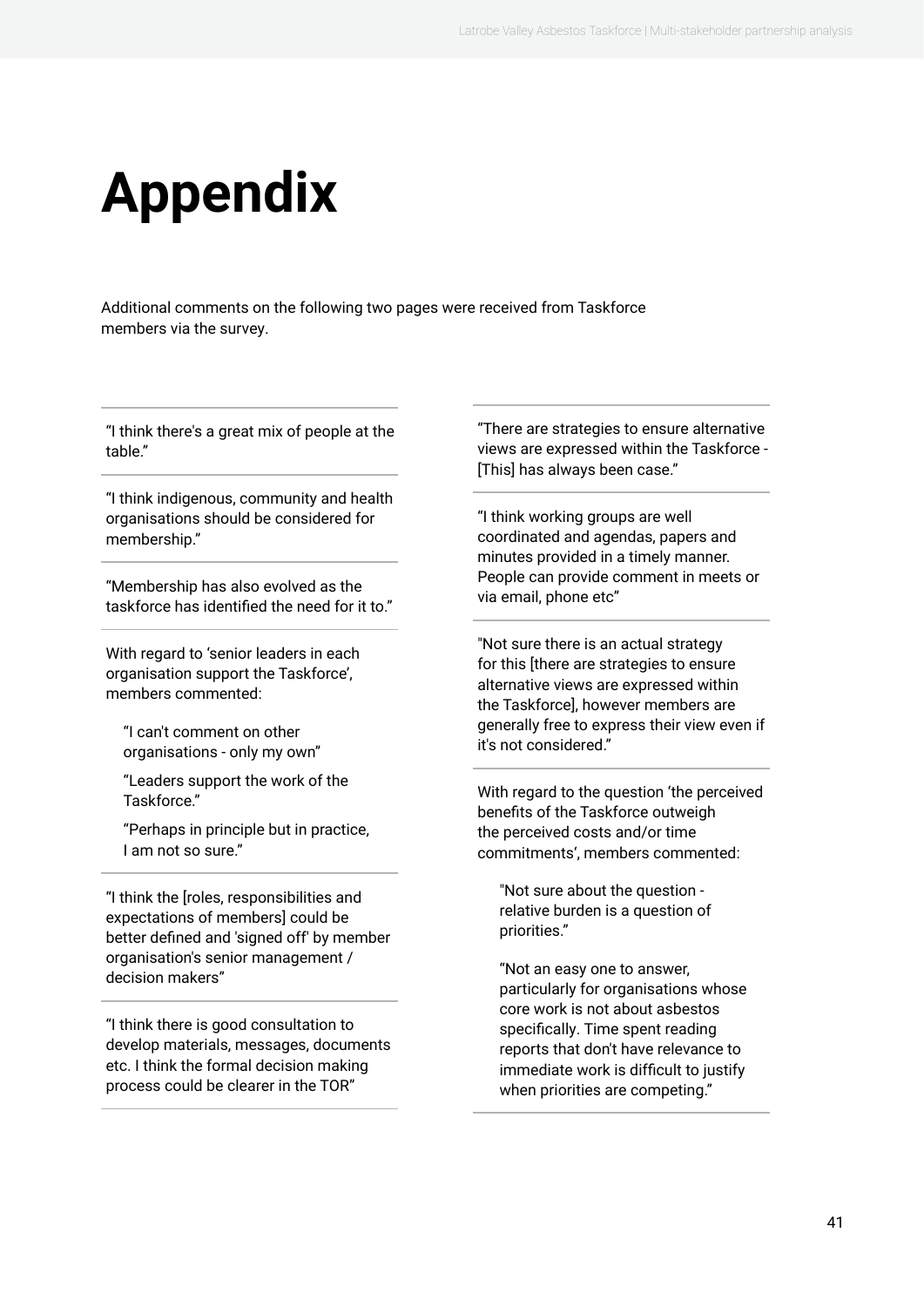# <span id="page-40-0"></span>**Appendix**

Additional comments on the following two pages were received from Taskforce members via the survey.

"I think there's a great mix of people at the table."

"I think indigenous, community and health organisations should be considered for membership."

"Membership has also evolved as the taskforce has identified the need for it to."

With regard to 'senior leaders in each organisation support the Taskforce', members commented:

"I can't comment on other organisations - only my own"

"Leaders support the work of the Taskforce."

"Perhaps in principle but in practice, I am not so sure."

"I think the [roles, responsibilities and expectations of members] could be better defined and 'signed off' by member organisation's senior management / decision makers"

"I think there is good consultation to develop materials, messages, documents etc. I think the formal decision making process could be clearer in the TOR"

"There are strategies to ensure alternative views are expressed within the Taskforce - [This] has always been case."

"I think working groups are well coordinated and agendas, papers and minutes provided in a timely manner. People can provide comment in meets or via email, phone etc"

"Not sure there is an actual strategy for this [there are strategies to ensure alternative views are expressed within the Taskforce], however members are generally free to express their view even if it's not considered."

With regard to the question 'the perceived benefits of the Taskforce outweigh the perceived costs and/or time commitments', members commented:

"Not sure about the question relative burden is a question of priorities."

"Not an easy one to answer, particularly for organisations whose core work is not about asbestos specifically. Time spent reading reports that don't have relevance to immediate work is difficult to justify when priorities are competing."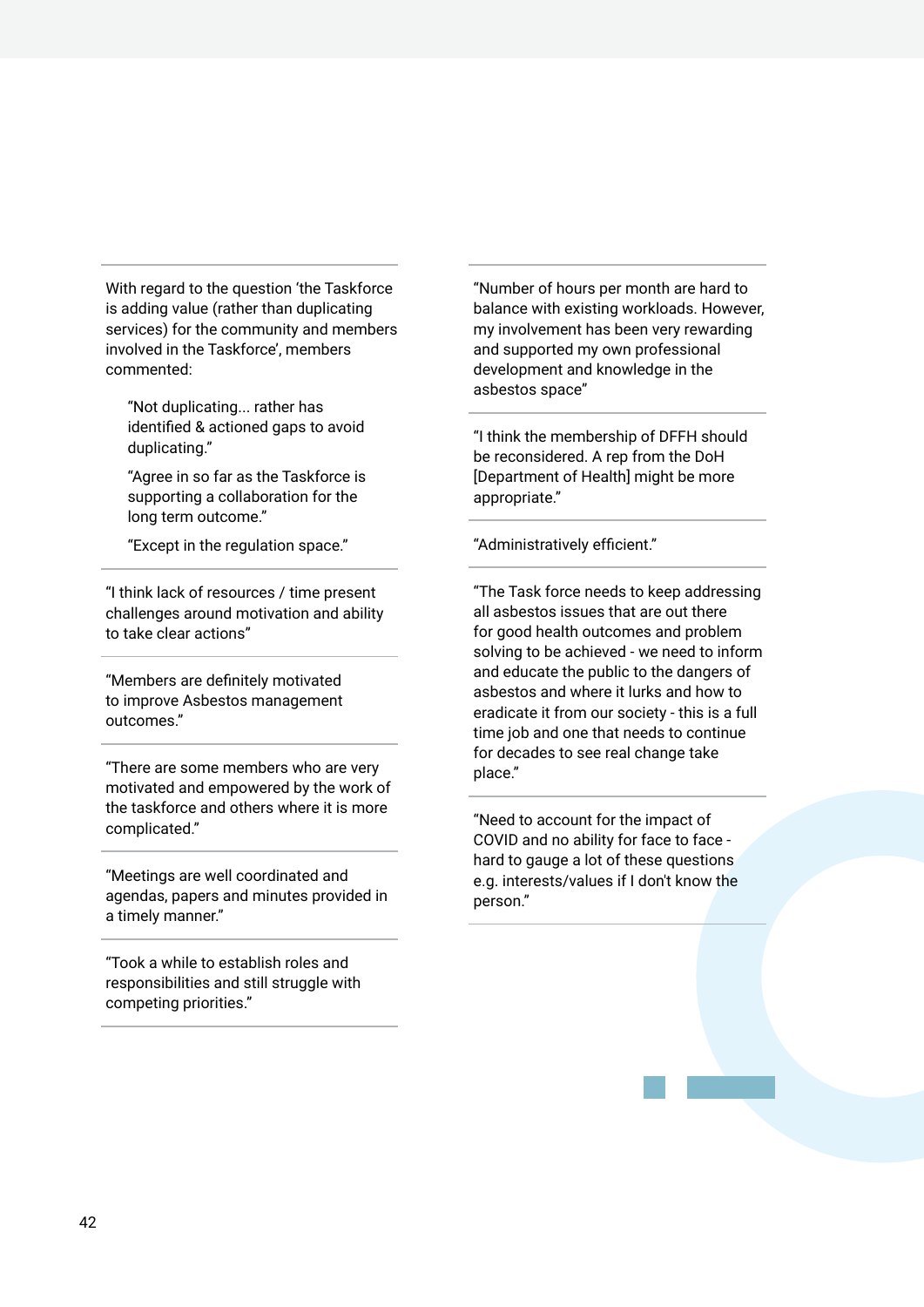With regard to the question 'the Taskforce is adding value (rather than duplicating services) for the community and members involved in the Taskforce', members commented:

"Not duplicating... rather has identified & actioned gaps to avoid duplicating."

"Agree in so far as the Taskforce is supporting a collaboration for the long term outcome."

"Except in the regulation space."

"I think lack of resources / time present challenges around motivation and ability to take clear actions"

"Members are definitely motivated to improve Asbestos management outcomes."

"There are some members who are very motivated and empowered by the work of the taskforce and others where it is more complicated."

"Meetings are well coordinated and agendas, papers and minutes provided in a timely manner."

"Took a while to establish roles and responsibilities and still struggle with competing priorities."

"Number of hours per month are hard to balance with existing workloads. However, my involvement has been very rewarding and supported my own professional development and knowledge in the asbestos space"

"I think the membership of DFFH should be reconsidered. A rep from the DoH [Department of Health] might be more appropriate."

"Administratively efficient."

"The Task force needs to keep addressing all asbestos issues that are out there for good health outcomes and problem solving to be achieved - we need to inform and educate the public to the dangers of asbestos and where it lurks and how to eradicate it from our society - this is a full time job and one that needs to continue for decades to see real change take place."

"Need to account for the impact of COVID and no ability for face to face hard to gauge a lot of these questions e.g. interests/values if I don't know the person."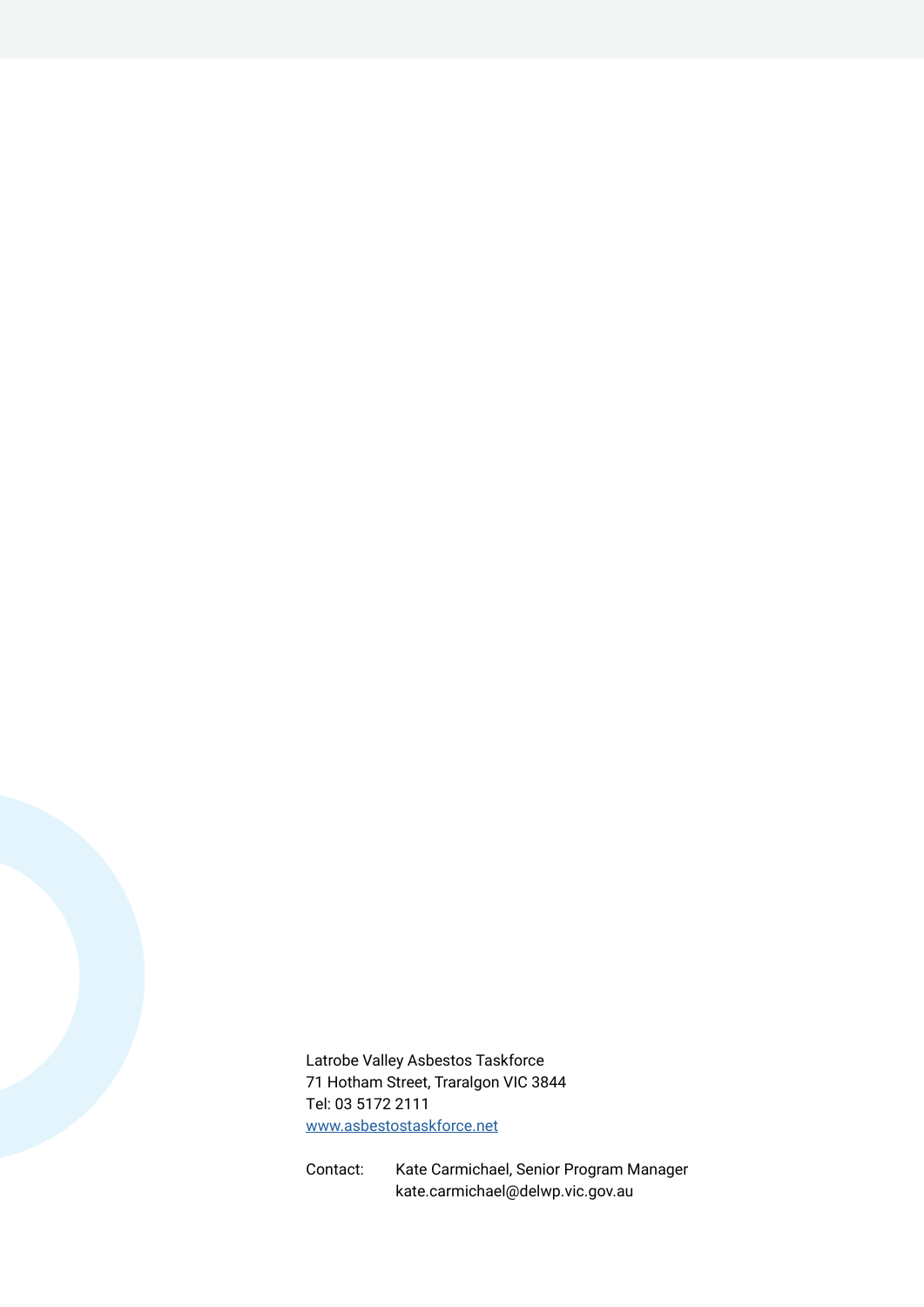Latrobe Valley Asbestos Taskforce 71 Hotham Street, Traralgon VIC 3844 Tel: 03 5172 2111 [www.asbestostaskforce.net](https://www.asbestostaskforce.net/)

Contact: Kate Carmichael, Senior Program Manager kate.carmichael@delwp.vic.gov.au